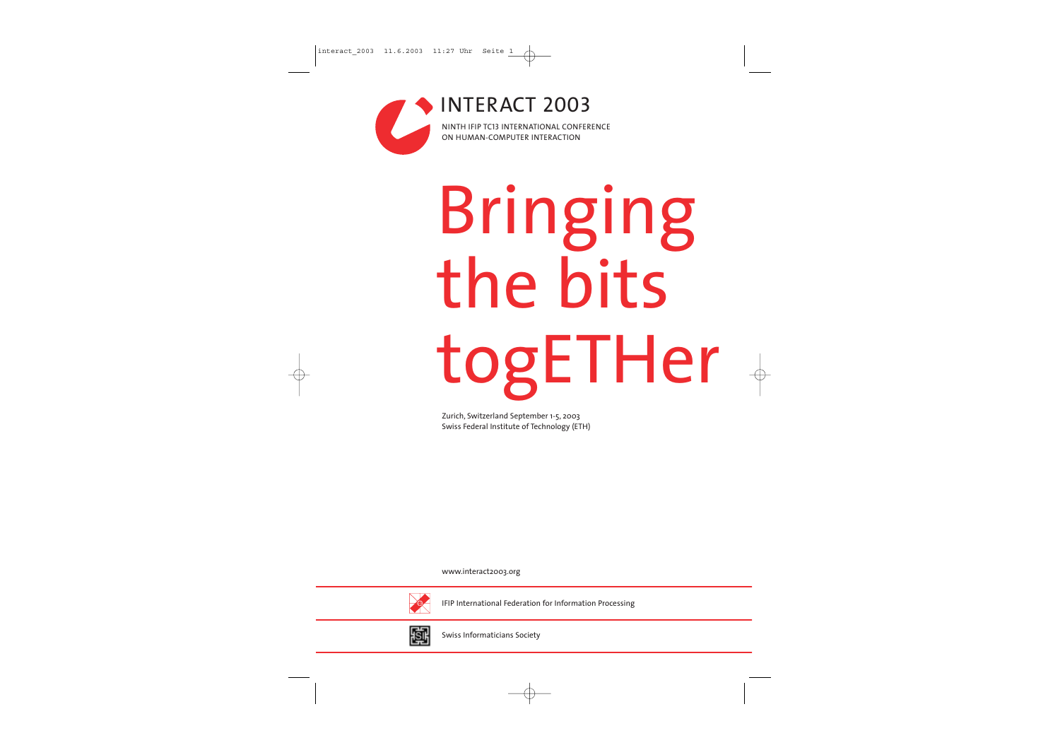# Bringing the bits togETHer

INTERACT 2003NINTH IFIP TC13 INTERNATIONAL CONFERENCE ON HUMAN-COMPUTER INTERACTION

www.interact2003.org



IFIP International Federation for Information Processing



Swiss Informaticians Society

Zurich, Switzerland September 1-5, 2003 Swiss Federal Institute of Technology (ETH)



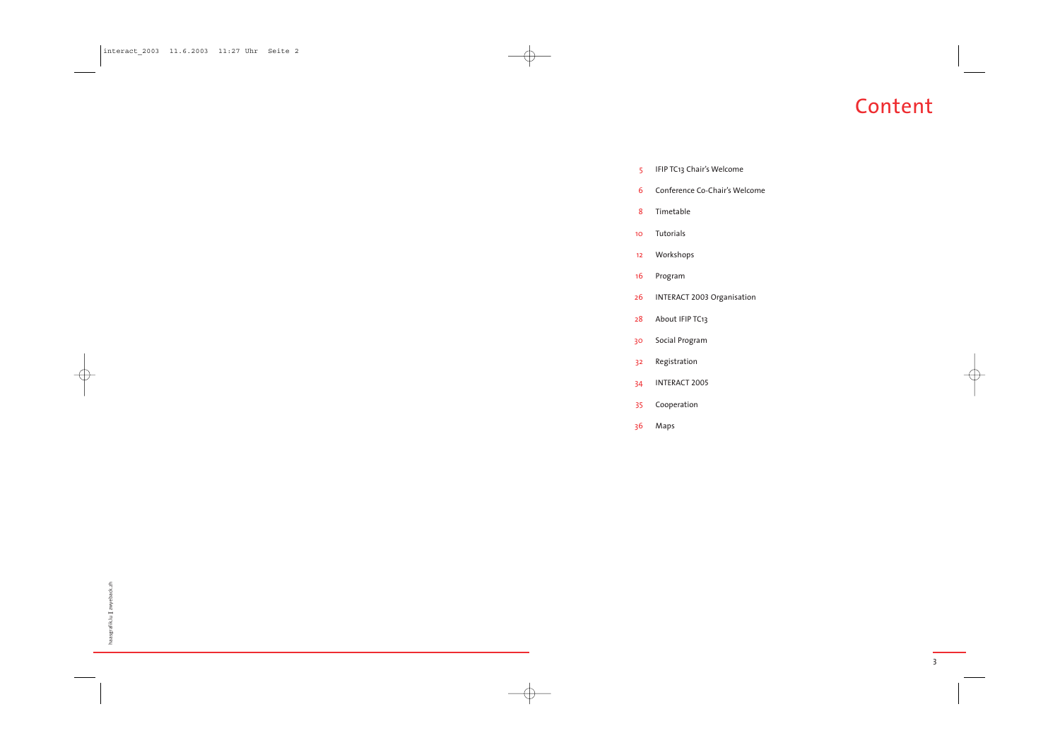## Content

3

- 5 IFIP TC13 Chair's Welcome
- 6 Conference Co-Chair's Welcome
- 8 Timetable
- 10 Tutorials
- 12 Workshops
- 16 Program
- 26 INTERACT 2003 Organisation
- 28 About IFIP TC13
- 30 Social Program
- 32 Registration
- 34 INTERACT 2005
- 35 Cooperation
- 36 Maps

| š            |  |
|--------------|--|
|              |  |
| ï<br>ЗS<br>π |  |

interact\_2003 11.6.2003 11:27 Uhr Seite 2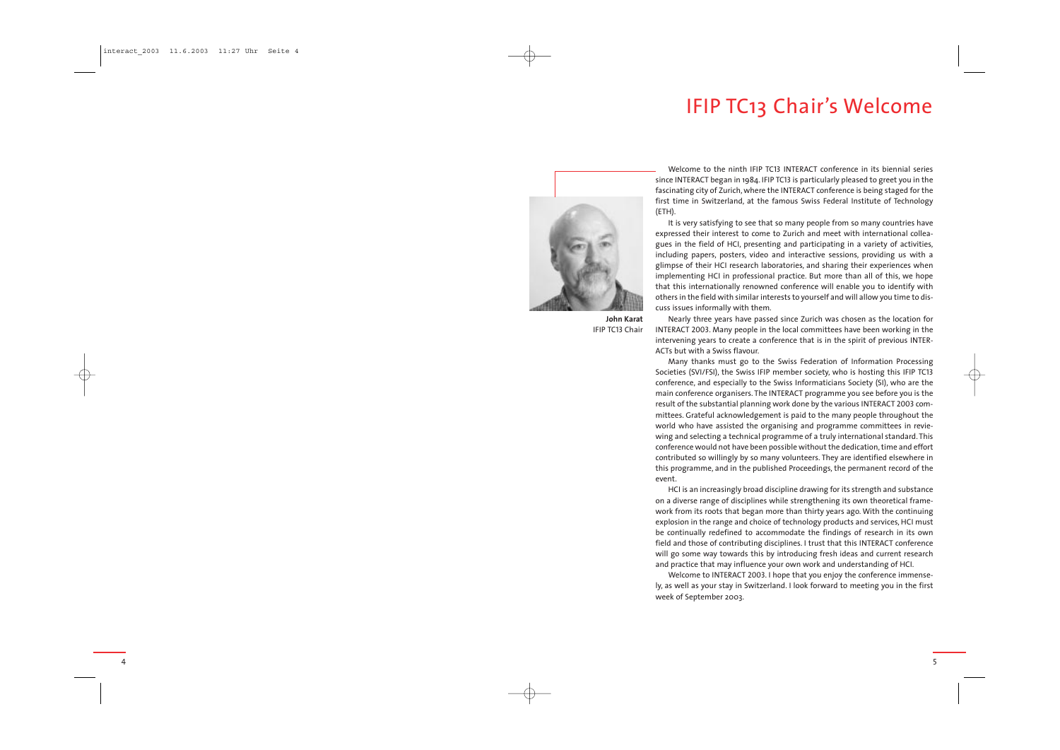

**John Karat** IFIP TC13 Chair

Welcome to the ninth IFIP TC13 INTERACT conference in its biennial series since INTERACT began in 1984. IFIP TC13 is particularly pleased to greet you in the fascinating city of Zurich, where the INTERACT conference is being staged for the first time in Switzerland, at the famous Swiss Federal Institute of Technology (ETH).

It is very satisfying to see that so many people from so many countries have expressed their interest to come to Zurich and meet with international colleagues in the field of HCI, presenting and participating in a variety of activities, including papers, posters, video and interactive sessions, providing us with a glimpse of their HCI research laboratories, and sharing their experiences when implementing HCI in professional practice. But more than all of this, we hope that this internationally renowned conference will enable you to identify with others in the field with similar interests to yourself and will allow you time to discuss issues informally with them.

Nearly three years have passed since Zurich was chosen as the location for INTERACT 2003. Many people in the local committees have been working in the intervening years to create a conference that is in the spirit of previous INTER-ACTs but with a Swiss flavour.

Many thanks must go to the Swiss Federation of Information Processing Societies (SVI/FSI), the Swiss IFIP member society, who is hosting this IFIP TC13 conference, and especially to the Swiss Informaticians Society (SI), who are the main conference organisers. The INTERACT programme you see before you is the result of the substantial planning work done by the various INTERACT <sup>2003</sup> committees. Grateful acknowledgement is paid to the many people throughout the world who have assisted the organising and programme committees in reviewing and selecting a technical programme of a truly international standard. This conference would not have been possible without the dedication, time and effort contributed so willingly by so many volunteers. They are identified elsewhere in this programme, and in the published Proceedings, the permanent record of the event.

HCI is an increasingly broad discipline drawing for its strength and substance on a diverse range of disciplines while strengthening its own theoretical framework from its roots that began more than thirty years ago. With the continuing explosion in the range and choice of technology products and services, HCI must be continually redefined to accommodate the findings of research in its own field and those of contributing disciplines. I trust that this INTERACT conference will go some way towards this by introducing fresh ideas and current research and practice that may influence your own work and understanding of HCI.

Welcome to INTERACT 2003. I hope that you enjoy the conference immensely, as well as your stay in Switzerland. I look forward to meeting you in the first week of September 2003.



4

## **IFIP TC13 Chair's Welcome**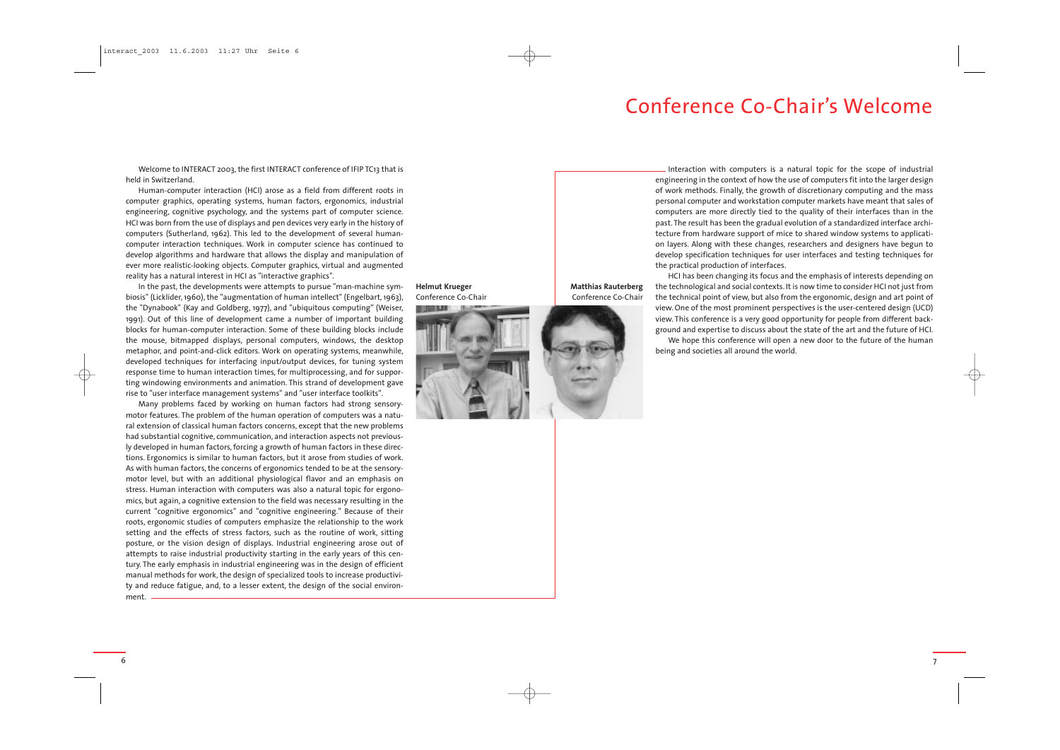## Conference Co-Chair's Welcome

**Matthias Rauterberg** Conference Co-Chair

**Helmut Krueger** Conference Co-Chair



Welcome to INTERACT 2003, the first INTERACT conference of IFIP TC13 that is held in Switzerland.

Human-computer interaction (HCI) arose as a field from different roots in computer graphics, operating systems, human factors, ergonomics, industrial engineering, cognitive psychology, and the systems part of computer science. HCI was born from the use of displays and pen devices very early in the history of computers (Sutherland, 1962). This led to the development of several humancomputer interaction techniques. Work in computer science has continued to develop algorithms and hardware that allows the display and manipulation of ever more realistic-looking objects. Computer graphics, virtual and augmented reality has a natural interest in HCI as "interactive graphics".

In the past, the developments were attempts to pursue "man-machine symbiosis" (Licklider, 1960), the "augmentation of human intellect" (Engelbart, 1963), the "Dynabook" (Kay and Goldberg, 1977), and "ubiquitous computing" (Weiser, 1991). Out of this line of development came a number of important building blocks for human-computer interaction. Some of these building blocks include the mouse, bitmapped displays, personal computers, windows, the desktop metaphor, and point-and-click editors. Work on operating systems, meanwhile, developed techniques for interfacing input/output devices, for tuning system response time to human interaction times, for multiprocessing, and for supporting windowing environments and animation. This strand of development gave rise to "user interface management systems" and "user interface toolkits".

Interaction with computers is a natural topic for the scope of industrial engineering in the context of how the use of computers fit into the larger design of work methods. Finally, the growth of discretionary computing and the mass personal computer and workstation computer markets have meant that sales of computers are more directly tied to the quality of their interfaces than in the past. The result has been the gradual evolution of a standardized interface architecture from hardware support of mice to shared window systems to application layers. Along with these changes, researchers and designers have begun to develop specification techniques for user interfaces and testing techniques for the practical production of interfaces.

Many problems faced by working on human factors had strong sensorymotor features. The problem of the human operation of computers was a natural extension of classical human factors concerns, except that the new problems had substantial cognitive, communication, and interaction aspects not previously developed in human factors, forcing a growth of human factors in these directions. Ergonomics is similar to human factors, but it arose from studies of work. As with human factors, the concerns of ergonomics tended to be at the sensorymotor level, but with an additional physiological flavor and an emphasis on stress. Human interaction with computers was also a natural topic for ergonomics, but again, a cognitive extension to the field was necessary resulting in the current "cognitive ergonomics" and "cognitive engineering." Because of their roots, ergonomic studies of computers emphasize the relationship to the work setting and the effects of stress factors, such as the routine of work, sitting posture, or the vision design of displays. Industrial engineering arose out of attempts to raise industrial productivity starting in the early years of this century. The early emphasis in industrial engineering was in the design of efficient manual methods for work, the design of specialized tools to increase productivity and reduce fatigue, and, to a lesser extent, the design of the social environment.

HCI has been changing its focus and the emphasis of interests depending on the technological and social contexts. It is now time to consider HCI not just from the technical point of view, but also from the ergonomic, design and art point of view. One of the most prominent perspectives is the user-centered design (UCD) view. This conference is a very good opportunity for people from different background and expertise to discuss about the state of the art and the future of HCI. We hope this conference will open a new door to the future of the human

being and societies all around the world.

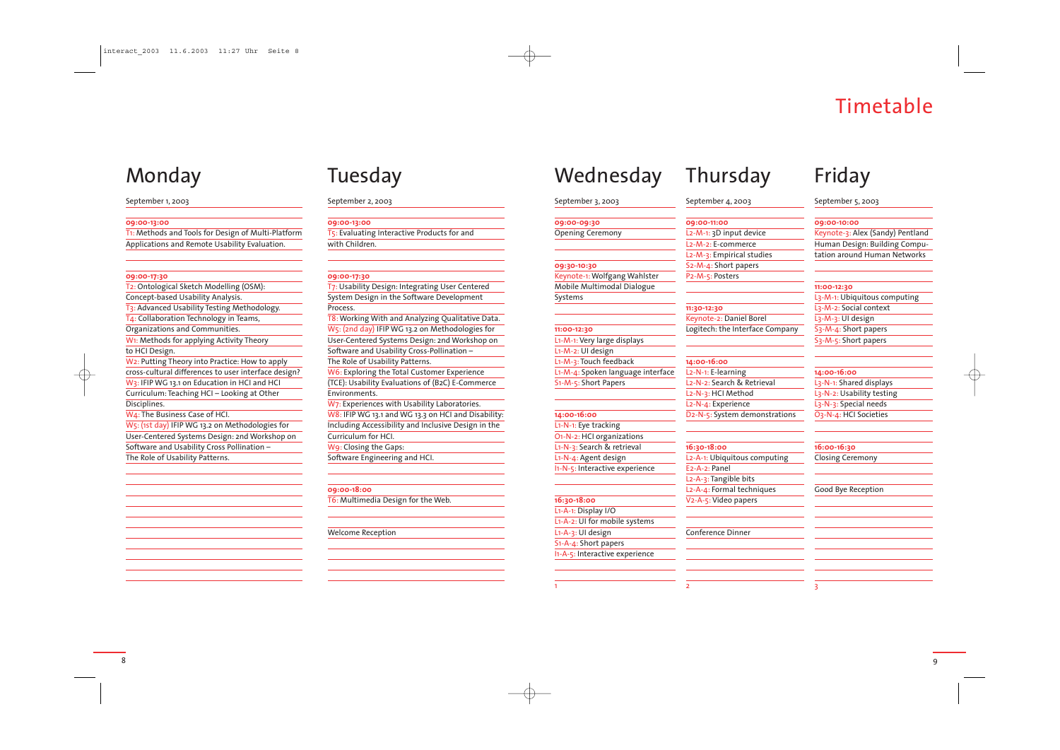## Timetable

## Monday

#### September 1, 2003

#### **09:00-13:00**

T1: Methods and Tools for Design of Multi-Platform Applications and Remote Usability Evaluation.

#### **09:00-17:30**

T2: Ontological Sketch Modelling (OSM): Concept-based Usability Analysis. T3: Advanced Usability Testing Methodology. T4: Collaboration Technology in Teams, Organizations and Communities. W1: Methods for applying Activity Theory to HCI Design. W2: Putting Theory into Practice: How to apply cross-cultural differences to user interface design? W<sub>3</sub>: IFIP WG 13.1 on Education in HCI and HCI Curriculum: Teaching HCI – Looking at Other Disciplines. W4: The Business Case of HCI.

W5: (1st day) IFIP WG 13.2 on Methodologies for User-Centered Systems Design: 2nd Workshop on Software and Usability Cross Pollination – The Role of Usability Patterns.

W7: Experiences with Usability Laboratories. W8: IFIP WG 13.1 and WG 13.3 on HCI and Disability: Including Accessibility and Inclusive Design in the Curriculum for HCI.

## Tuesday

#### September 2, 2003

#### **09:00-13:00**

T5: Evaluating Interactive Products for and with Children.

#### **09:00-17:30**

T7: Usability Design: Integrating User Centered System Design in the Software Development Process. T8:Working With and Analyzing Qualitative Data. W5: (2nd day) IFIP WG 13.2 on Methodologies for User-Centered Systems Design: 2nd Workshop on Software and Usability Cross-Pollination – The Role of Usability Patterns. W6: Exploring the Total Customer Experience

(TCE): Usability Evaluations of (B2C) E-Commerce Environments.

W9: Closing the Gaps: Software Engineering and HCI.

**09:00-18:00**

T6: Multimedia Design for the Web.

#### Welcome Reception

## Friday

September 5, 2003

#### **09:00-10:00**

Keynote-3: Alex (Sandy) Pentland Human Design: Building Computation around Human Networks

#### **11:00-12:30**

L3-M-1: Ubiquitous computing L3-M-2: Social context L3-M-3: UI design S3-M-4: Short papers S3-M-5: Short papers

#### **14:00-16:00**

L3-N-1: Shared displays L<sub>3</sub>-N-<sub>2</sub>: Usability testing L<sub>3</sub>-N-<sub>3</sub>: Special needs O3-N-4: HCI Societies

#### **16:00-16:30**

Closing Ceremony

#### Good Bye Reception

3

#### September 4, 2003

| 09:00-11:00                                          |
|------------------------------------------------------|
|                                                      |
| L <sub>2</sub> -M-1: 3D input device                 |
| L <sub>2</sub> -M- <sub>2</sub> : E-commerce         |
| L2-M-3: Empirical studies                            |
| S <sub>2</sub> -M- <sub>4</sub> : Short papers       |
| P2-M-5: Posters                                      |
|                                                      |
| 11:30-12:30                                          |
| Keynote-2: Daniel Borel                              |
| Logitech: the Interface Company                      |
|                                                      |
| 14:00-16:00                                          |
| L <sub>2</sub> -N <sub>-1</sub> : E-learning         |
| L <sub>2</sub> -N- <sub>2</sub> : Search & Retrieval |
| L <sub>2</sub> -N- <sub>3</sub> : HCI Method         |
| L <sub>2</sub> -N-4: Experience                      |
| D2-N-5: System demonstrations                        |
|                                                      |
|                                                      |
| 16:30-18:00                                          |
| L2-A-1: Ubiquitous computing                         |
| E <sub>2</sub> -A- <sub>2</sub> : Panel              |
| L2-A-3: Tangible bits                                |
| L <sub>2</sub> -A-4: Formal techniques               |
| V <sub>2</sub> -A-5: Video papers                    |
|                                                      |
| Conference Dinner                                    |
|                                                      |
|                                                      |
|                                                      |
|                                                      |
|                                                      |

|  | Wednesday |  |
|--|-----------|--|
|  |           |  |

## **Thursday**

## September 3, 2003

**09:00-09:30** Opening Ceremony

#### **09:30-10:30** Keynote-1:Wolfgang Wahlster Mobile Multimodal Dialogue

Systems

### **11:00-12:30** L1-M-1: Very large displays L1-M-2: UI design L1-M-3: Touch feedback L1-M-4: Spoken language interface S1-M-5: Short Papers

**14:00-16:00** L1-N-1: Eye tracking O1-N-2: HCI organizations

L1-N-3: Search & retrieval L1-N-4: Agent design I1-N-5: Interactive experience

**16:30-18:00**

### L1-A-1: Display I/O L1-A-2: UI for mobile systems L1-A-3: UI design S1-A-4: Short papers

I1-A-5: Interactive experience

1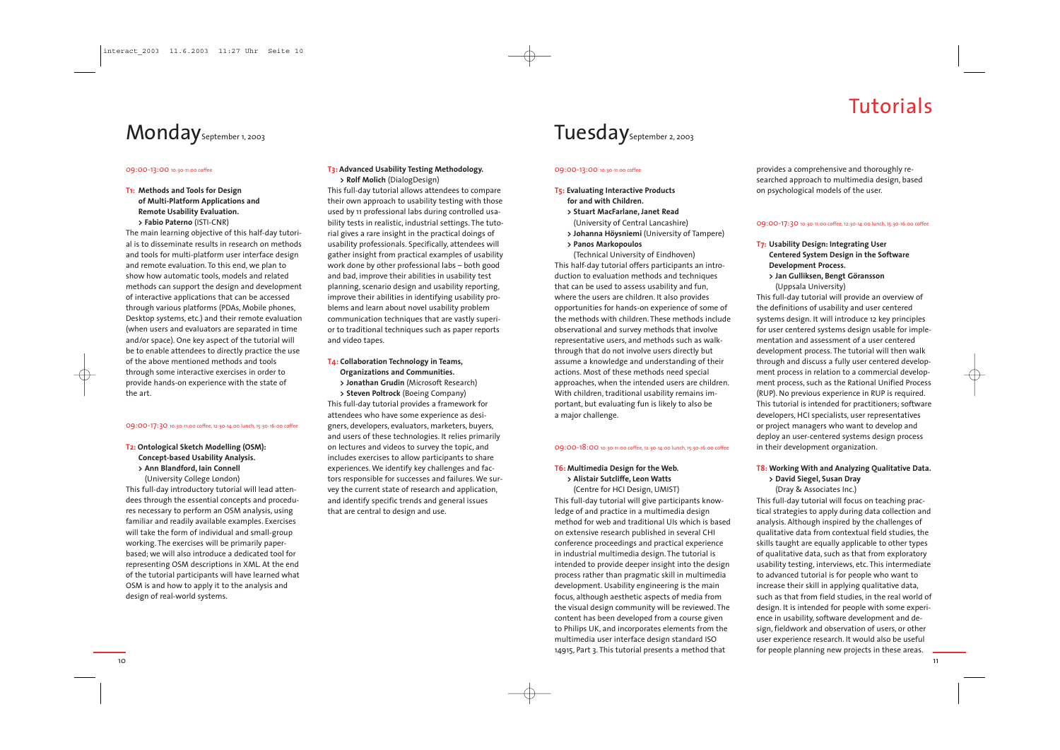## Tutorials

**T1: Methods and Tools for Design of Multi-Platform Applications and Remote Usability Evaluation. > Fabio Paterno** (ISTI-CNR)

The main learning objective of this half-day tutorial is to disseminate results in research on methods and tools for multi-platform user interface design and remote evaluation. To this end, we plan to show how automatic tools, models and related methods can support the design and development of interactive applications that can be accessed through various platforms (PDAs, Mobile phones, Desktop systems, etc.) and their remote evaluation (when users and evaluators are separated in time and/or space). One key aspect of the tutorial will be to enable attendees to directly practice the use of the above mentioned methods and tools through some interactive exercises in order to provide hands-on experience with the state of the art.

#### 09:00-17:30 10:30-11:00 coffee, 12:30-14:00 lunch, 15:30-16:00 coffee

#### **T2: Ontological Sketch Modelling (OSM): Concept-based Usability Analysis. <sup>&</sup>gt; Ann Blandford, Iain Connell**

(University College London) This full-day introductory tutorial will lead attendees through the essential concepts and procedures necessary to perform an OSM analysis, using familiar and readily available examples. Exercises will take the form of individual and small-group working. The exercises will be primarily paperbased; we will also introduce a dedicated tool for representing OSM descriptions in XML. At the end of the tutorial participants will have learned what OSM is and how to apply it to the analysis and design of real-world systems.

#### **T3: Advanced Usability Testing Methodology. > Rolf Molich** (DialogDesign)

This full-day tutorial allows attendees to compare their own approach to usability testing with those used by 11 professional labs during controlled usability tests in realistic, industrial settings. The tutorial gives a rare insight in the practical doings of usability professionals. Specifically, attendees will gather insight from practical examples of usability work done by other professional labs – both good and bad, improve their abilities in usability test planning, scenario design and usability reporting, improve their abilities in identifying usability problems and learn about novel usability problem communication techniques that are vastly superior to traditional techniques such as paper reports and video tapes.

#### **T4: Collaboration Technology in Teams, Organizations and Communities.**

**> Jonathan Grudin** (Microsoft Research)

**> Steven Poltrock** (Boeing Company) This full-day tutorial provides a framework for attendees who have some experience as designers, developers, evaluators, marketers, buyers, and users of these technologies. It relies primarily on lectures and videos to survey the topic, and includes exercises to allow participants to share experiences. We identify key challenges and factors responsible for successes and failures. We survey the current state of research and application, and identify specific trends and general issues that are central to design and use.

## Tuesday<sub>September 2, 2003</sub>

#### 09:00-13:00 10:30-11:00 coffee

#### **T5: Evaluating Interactive Products for and with Children.**

- **> Stuart MacFarlane, Janet Read**
- (University of Central Lancashire)
- **> Johanna Höysniemi** (University of Tampere)
- **> Panos Markopoulos**

(Technical University of Eindhoven) This half-day tutorial offers participants an introduction to evaluation methods and techniques that can be used to assess usability and fun, where the users are children. It also provides opportunities for hands-on experience of some of the methods with children. These methods include observational and survey methods that involve representative users, and methods such as walkthrough that do not involve users directly but assume a knowledge and understanding of their actions. Most of these methods need special approaches, when the intended users are children. With children, traditional usability remains important, but evaluating fun is likely to also be a major challenge.

#### 09:00-18:00 10:30-11:00 coffee, 12:30-14:00 lunch, 15:30-16:00 coffee

#### **T6: Multimedia Design for the Web. > Alistair Sutcliffe, Leon Watts**

(Centre for HCI Design, UMIST) This full-day tutorial will give participants knowledge of and practice in a multimedia design method for web and traditional UIs which is based on extensive research published in several CHI conference proceedings and practical experience in industrial multimedia design. The tutorial is intended to provide deeper insight into the design process rather than pragmatic skill in multimedia development. Usability engineering is the main focus, although aesthetic aspects of media from the visual design community will be reviewed. The content has been developed from a course given to Philips UK, and incorporates elements from the multimedia user interface design standard ISO 14915, Part 3. This tutorial presents a method that

provides a comprehensive and thoroughly researched approach to multimedia design, based on psychological models of the user.

#### 09:00-17:30 10:30-11:00 coffee, 12:30-14:00 lunch, 15:30-16:00 coffee

### **T7: Usability Design: Integrating User Centered System Design in the Software**

- 
- 

**Development Process. <sup>&</sup>gt; Jan Gulliksen, Bengt Göransson** (Uppsala University) This full-day tutorial will provide an overview of the definitions of usability and user centered systems design. It will introduce 12 key principles for user centered systems design usable for implementation and assessment of a user centered development process. The tutorial will then walk through and discuss a fully user centered development process in relation to a commercial development process, such as the Rational Unified Process (RUP). No previous experience in RUP is required. This tutorial is intended for practitioners; software developers, HCI specialists, user representatives or project managers who want to develop and deploy an user-centered systems design process in their development organization.

#### **T8: Working With and Analyzing Qualitative Data. <sup>&</sup>gt; David Siegel, Susan Dray**

(Dray & Associates Inc.)



This full-day tutorial will focus on teaching practical strategies to apply during data collection and analysis. Although inspired by the challenges of qualitative data from contextual field studies, the skills taught are equally applicable to other types of qualitative data, such as that from exploratory usability testing, interviews, etc. This intermediate to advanced tutorial is for people who want to increase their skill in applying qualitative data, such as that from field studies, in the real world of design. It is intended for people with some experience in usability, software development and design, fieldwork and observation of users, or other user experience research. It would also be useful for people planning new projects in these areas.

## Monday<sub>September 1, 2003</sub>

#### 09:00-13:00 10:30-11:00 coffee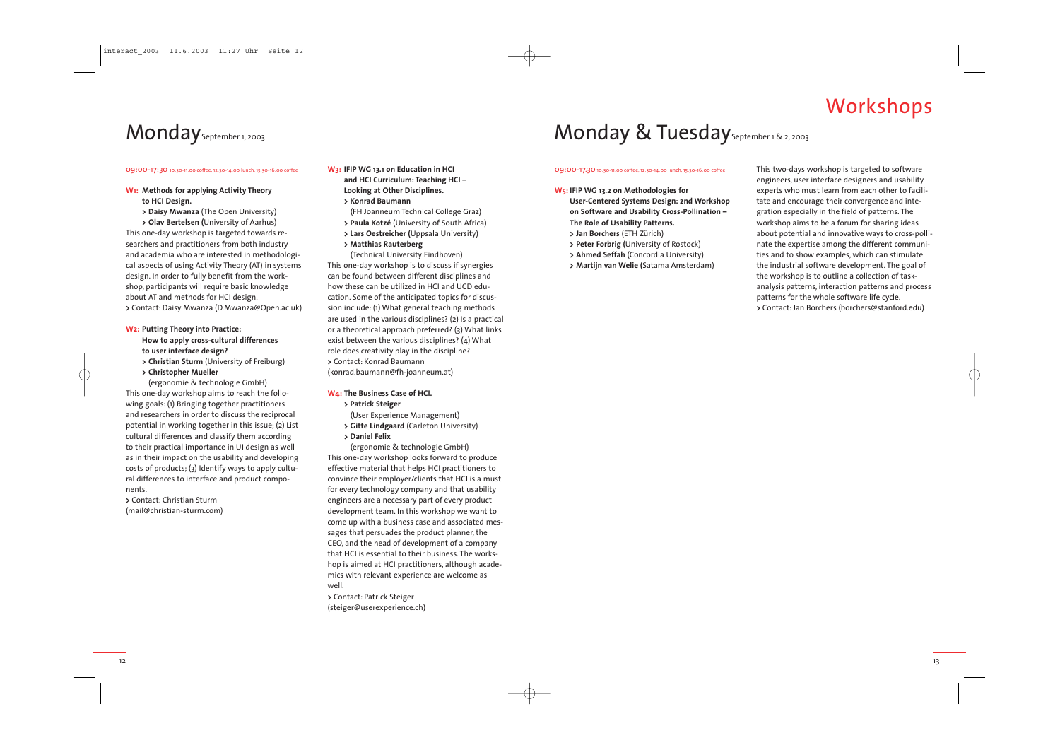## Workshops



#### 09:00-17:30 10:30-11:00 coffee, 12:30-14:00 lunch, 15:30-16:00 coffee

**W1: Methods for applying Activity Theory to HCI Design.**

**<sup>&</sup>gt; Daisy Mwanza** (The Open University) **<sup>&</sup>gt; Olav Bertelsen (**University of Aarhus) This one-day workshop is targeted towards researchers and practitioners from both industry and academia who are interested in methodological aspects of using Activity Theory (AT) in systems design. In order to fully benefit from the workshop, participants will require basic knowledge about AT and methods for HCI design. **<sup>&</sup>gt;**Contact: Daisy Mwanza (D.Mwanza@Open.ac.uk)

- **W2: Putting Theory into Practice: How to apply cross-cultural differences to user interface design?**
- **> Christian Sturm** (University of Freiburg) **<sup>&</sup>gt; Christopher Mueller**

(ergonomie & technologie GmbH) This one-day workshop aims to reach the following goals: (1) Bringing together practitioners and researchers in order to discuss the reciprocal potential in working together in this issue; (2) List cultural differences and classify them according to their practical importance in UI design as well as in their impact on the usability and developing costs of products; (3) Identify ways to apply cultural differences to interface and product components.

**>** Contact: Christian Sturm (mail@christian-sturm.com) **W3: IFIP WG 13.1 on Education in HCI and HCI Curriculum: Teaching HCI – Looking at Other Disciplines. > Konrad Baumann**

- 
- (FH Joanneum Technical College Graz)
- **<sup>&</sup>gt; Paula Kotzé** (University of South Africa)
- **<sup>&</sup>gt; Lars Oestreicher (**Uppsala University)
- **<sup>&</sup>gt; Matthias Rauterberg**

(Technical University Eindhoven) This one-day workshop is to discuss if synergies can be found between different disciplines and how these can be utilized in HCI and UCD education. Some of the anticipated topics for discussion include: (1) What general teaching methods are used in the various disciplines? (2) Is a practical or a theoretical approach preferred? (3) What links exist between the various disciplines? (4) What role does creativity play in the discipline? **>** Contact: Konrad Baumann

(konrad.baumann@fh-joanneum.at)

#### **W4: The Business Case of HCI.**

- **<sup>&</sup>gt; Patrick Steiger**
- (User Experience Management)
- **<sup>&</sup>gt; Gitte Lindgaard** (Carleton University)
- **> Daniel Felix**

(ergonomie & technologie GmbH) This one-day workshop looks forward to produce effective material that helps HCI practitioners to convince their employer/clients that HCI is a must for every technology company and that usability engineers are a necessary part of every product development team. In this workshop we want to come up with a business case and associated messages that persuades the product planner, the CEO, and the head of development of a company that HCI is essential to their business. The workshop is aimed at HCI practitioners, although academics with relevant experience are welcome as well.

**<sup>&</sup>gt;**Contact: Patrick Steiger (steiger@userexperience.ch)

## Monday & Tuesday<sub>September 1 & 2, 2003</sub>

#### 09:00-17.30 10:30-11:00 coffee, 12:30-14:00 lunch, 15:30-16:00 coffee

#### **W5: IFIP WG 13.2 on Methodologies for User-Centered Systems Design: 2nd Workshop on Software and Usability Cross-Pollination –**

- **The Role of Usability Patterns.**
- **> Jan Borchers** (ETH Zürich)
- **<sup>&</sup>gt; Peter Forbrig (**University of Rostock)
- **<sup>&</sup>gt; Ahmed Seffah** (Concordia University)
- **<sup>&</sup>gt; Martijn van Welie (**Satama Amsterdam)

This two-days workshop is targeted to software engineers, user interface designers and usability experts who must learn from each other to facilitate and encourage their convergence and integration especially in the field of patterns. The workshop aims to be a forum for sharing ideas about potential and innovative ways to cross-pollinate the expertise among the different communities and to show examples, which can stimulate the industrial software development. The goal of the workshop is to outline a collection of taskanalysis patterns, interaction patterns and process patterns for the whole software life cycle. **<sup>&</sup>gt;**Contact: Jan Borchers (borchers@stanford.edu)

## Monday<sub>September 1, 2003</sub>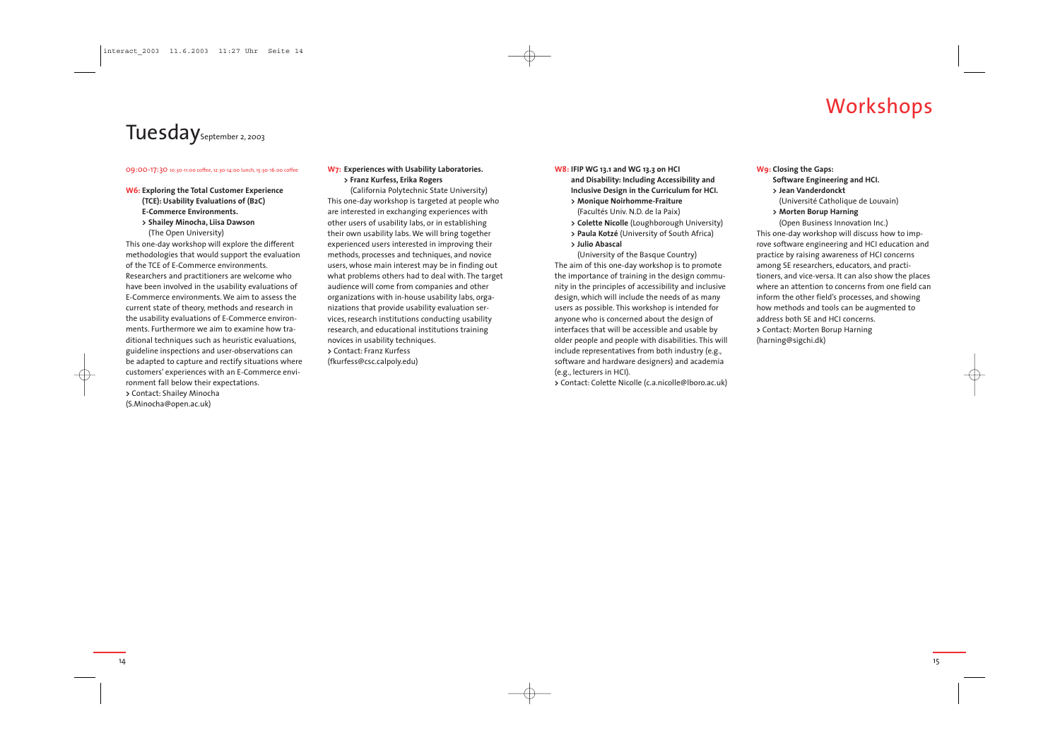## Workshops

15

#### 09:00-17:30 10:30-11:00 coffee, 12:30-14:00 lunch, 15:30-16:00 coffee

**W6: Exploring the Total Customer Experience (TCE): Usability Evaluations of (B2C) E-Commerce Environments. <sup>&</sup>gt; Shailey Minocha, Liisa Dawson**

(The Open University) This one-day workshop will explore the different methodologies that would support the evaluation of the TCE of E-Commerce environments. Researchers and practitioners are welcome who have been involved in the usability evaluations of E-Commerce environments. We aim to assess the current state of theory, methods and research in the usability evaluations of E-Commerce environments. Furthermore we aim to examine how traditional techniques such as heuristic evaluations, guideline inspections and user-observations can be adapted to capture and rectify situations where customers' experiences with an E-Commerce environment fall below their expectations. **<sup>&</sup>gt;**Contact: Shailey Minocha (S.Minocha@open.ac.uk)

### **W7: Experiences with Usability Laboratories. <sup>&</sup>gt; Franz Kurfess, Erika Rogers**

(California Polytechnic State University) This one-day workshop is targeted at people who are interested in exchanging experiences with other users of usability labs, or in establishing their own usability labs. We will bring together experienced users interested in improving their methods, processes and techniques, and novice users, whose main interest may be in finding out what problems others had to deal with. The target audience will come from companies and other organizations with in-house usability labs, organizations that provide usability evaluation services, research institutions conducting usability research, and educational institutions training novices in usability techniques. **>** Contact: Franz Kurfess (fkurfess@csc.calpoly.edu)

#### **W8: IFIP WG 13.1 and WG 13.3 on HCI and Disability: Including Accessibility and Inclusive Design in the Curriculum for HCI. <sup>&</sup>gt; Monique Noirhomme-Fraiture**

- (Facultés Univ. N.D. de la Paix)
- **<sup>&</sup>gt; Colette Nicolle** (Loughborough University)
- **<sup>&</sup>gt; Paula Kotzé** (University of South Africa)
- **> Julio Abascal**
- 

(University of the Basque Country) The aim of this one-day workshop is to promote the importance of training in the design community in the principles of accessibility and inclusive design, which will include the needs of as many users as possible. This workshop is intended for anyone who is concerned about the design of interfaces that will be accessible and usable by older people and people with disabilities. This will include representatives from both industry (e.g., software and hardware designers) and academia (e.g., lecturers in HCI).

**<sup>&</sup>gt;**Contact: Colette Nicolle (c.a.nicolle@lboro.ac.uk)

## **W9: Closing the Gaps:**

**Software Engineering and HCI. > Jean Vanderdonckt** (Université Catholique de Louvain) **<sup>&</sup>gt; Morten Borup Harning** (Open Business Innovation Inc.) This one-day workshop will discuss how to improve software engineering and HCI education and practice by raising awareness of HCI concerns among SE researchers, educators, and practitioners, and vice-versa. It can also show the places where an attention to concerns from one field can inform the other field's processes, and showing how methods and tools can be augmented to address both SE and HCI concerns. **<sup>&</sup>gt;**Contact: Morten Borup Harning (harning@sigchi.dk)

14

## Tuesday<sub>September 2, 2003</sub>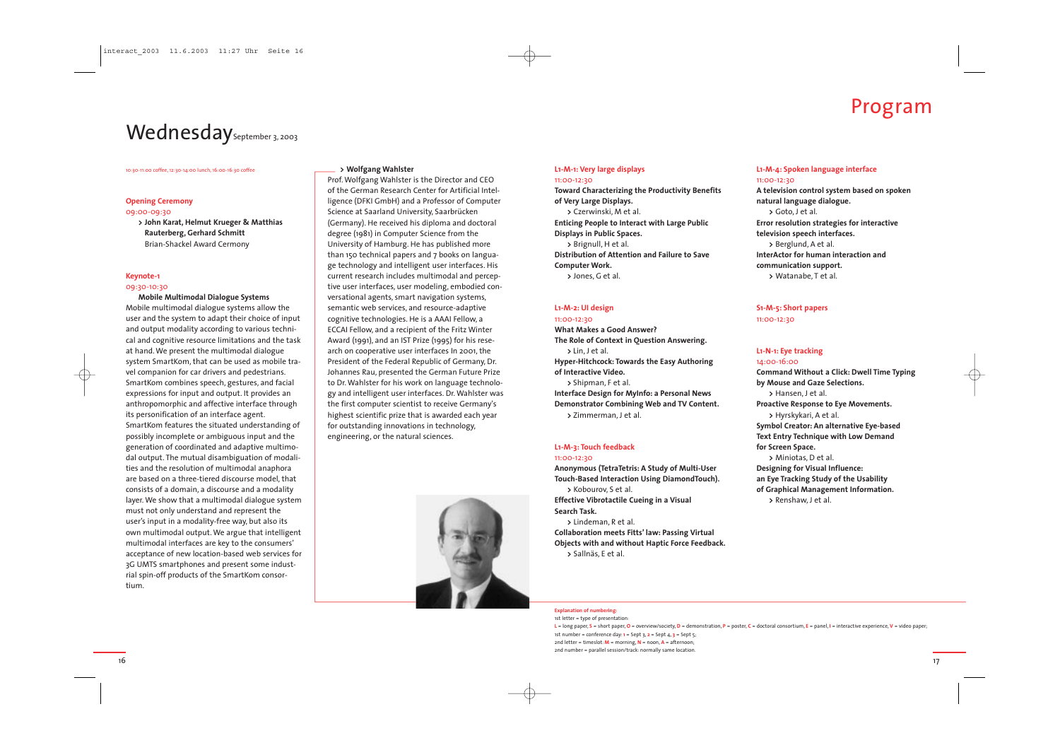#### 10:30-11:00 coffee, 12:30-14:00 lunch, 16:00-16:30 coffee

#### **Opening Ceremony**

#### 09:00-09:30

**<sup>&</sup>gt; John Karat, Helmut Krueger & Matthias Rauterberg, Gerhard Schmitt** Brian-Shackel Award Cermony

#### **Keynote-1**

#### 09:30-10:30

**Mobile Multimodal Dialogue Systems** Mobile multimodal dialogue systems allow the user and the system to adapt their choice of input and output modality according to various technical and cognitive resource limitations and the task at hand. We present the multimodal dialogue system SmartKom, that can be used as mobile travel companion for car drivers and pedestrians. SmartKom combines speech, gestures, and facial expressions for input and output. It provides an anthropomorphic and affective interface through its personification of an interface agent. SmartKom features the situated understanding of possibly incomplete or ambiguous input and the generation of coordinated and adaptive multimodal output. The mutual disambiguation of modalities and the resolution of multimodal anaphora are based on a three-tiered discourse model, that consists of a domain, a discourse and a modality layer. We show that a multimodal dialogue system must not only understand and represent the user's input in a modality-free way, but also its own multimodal output. We argue that intelligent multimodal interfaces are key to the consumers' acceptance of new location-based web services for 3G UMTS smartphones and present some industrial spin-off products of the SmartKom consortium.

#### **<sup>&</sup>gt; Wolfgang Wahlster**

Prof. Wolfgang Wahlster is the Director and CEO of the German Research Center for Artificial Intelligence (DFKI GmbH) and a Professor of Computer Science at Saarland University, Saarbrücken (Germany). He received his diploma and doctoral degree (1981) in Computer Science from the University of Hamburg. He has published more than 150 technical papers and 7 books on language technology and intelligent user interfaces. His current research includes multimodal and perceptive user interfaces, user modeling, embodied conversational agents, smart navigation systems, semantic web services, and resource-adaptive cognitive technologies. He is a AAAI Fellow, <sup>a</sup> ECCAI Fellow, and a recipient of the Fritz Winter Award (1991), and an IST Prize (1995) for his research on cooperative user interfaces In 2001, the President of the Federal Republic of Germany, Dr. Johannes Rau, presented the German Future Prize to Dr. Wahlster for his work on language technology and intelligent user interfaces. Dr. Wahlster was the first computer scientist to receive Germany's highest scientific prize that is awarded each year for outstanding innovations in technology, engineering, or the natural sciences.



#### **L1-M-1: Very large displays** 11:00-12:30

**Toward Characterizing the Productivity Benefits of Very Large Displays. >** Czerwinski, M et al. **Enticing People to Interact with Large Public Displays in Public Spaces. >** Brignull, H et al. **Distribution of Attention and Failure to Save Computer Work. >** Jones, G et al.

#### **L1-M-2: UI design**

#### 11:00-12:30 **What Makes a Good Answer? The Role of Context in Question Answering. <sup>&</sup>gt;**Lin, J et al. **Hyper-Hitchcock: Towards the Easy Authoring of Interactive Video. <sup>&</sup>gt;**Shipman, F et al. **Interface Design for MyInfo: a Personal News Demonstrator Combining Web and TV Content. <sup>&</sup>gt;**Zimmerman, J et al.

#### **L1-M-3: Touch feedback** 11:00-12:30

**Anonymous (TetraTetris: A Study of Multi-User Touch-Based Interaction Using DiamondTouch). >** Kobourov, S et al. **Effective Vibrotactile Cueing in a Visual Search Task. >** Lindeman, R et al.

**Collaboration meets Fitts' law: Passing Virtual Objects with and without Haptic Force Feedback. >** Sallnäs, E et al.

**L1-M-4: Spoken language interface** 11:00-12:30 **A television control system based on spoken natural language dialogue. >** Goto, J et al. **Error resolution strategies for interactive television speech interfaces. >** Berglund, A et al. **InterActor for human interaction and communication support. >** Watanabe, T et al.

#### **S1-M-5: Short papers** 11:00-12:30

#### **L1-N-1: Eye tracking** 14:00-16:00

**>** Hansen, J et al. **for Screen Space.**

**Command Without a Click: Dwell Time Typing by Mouse and Gaze Selections. Proactive Response to Eye Movements. >** Hyrskykari, A et al. **Symbol Creator: An alternative Eye-based Text Entry Technique with Low Demand >** Miniotas, D et al. **Designing for Visual Influence: an Eye Tracking Study of the Usability of Graphical Management Information. >** Renshaw, J et al.



**Explanation of numbering:**

1st letter = type of presentation: **<sup>L</sup>**= long paper, **S** = short paper, **O** = overview/society, **<sup>D</sup>**= demonstration, **<sup>P</sup>**= poster, **<sup>C</sup>**= doctoral consortium, **<sup>E</sup>**= panel, **<sup>I</sup>**= interactive experience, **<sup>V</sup>**= video paper; 1st number = conference day: **<sup>1</sup>**= Sept 3, **<sup>2</sup>**= Sept 4, **3** = Sept 5; 2nd letter = timeslot: **<sup>M</sup>**= morning, **<sup>N</sup>**= noon, **<sup>A</sup>**= afternoon; 2nd number = parallel session/track: normally same location.

## Wednesday<sub>September 3, 2003</sub>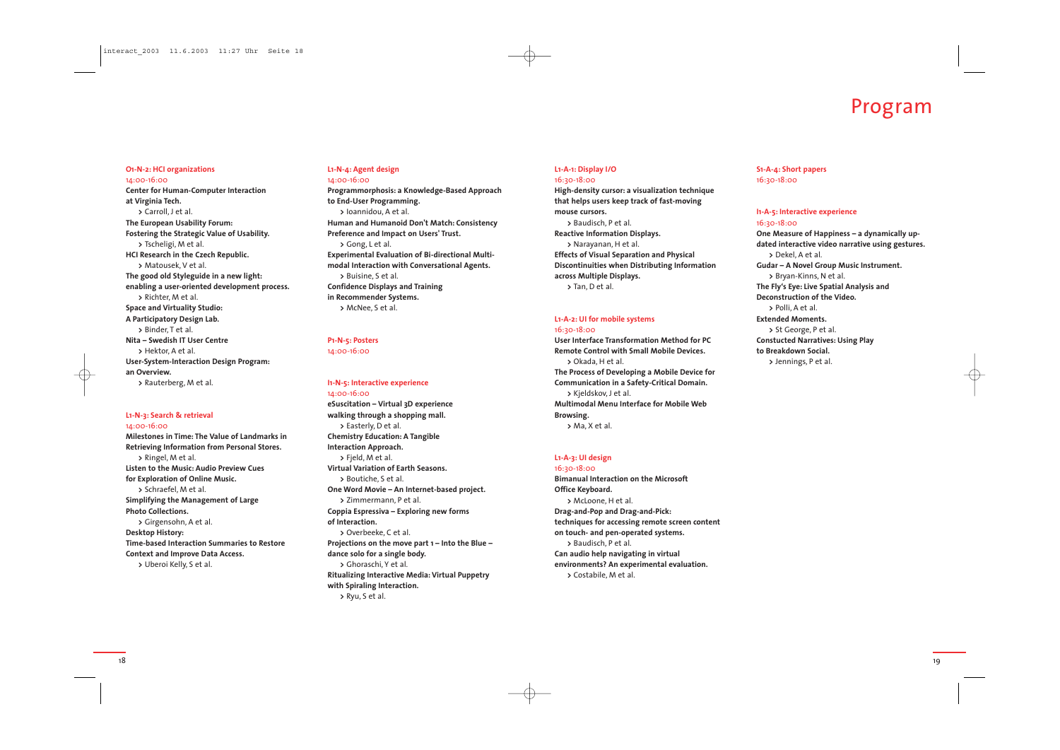19

#### **L1-A-1: Display I/O** 16:30-18:00

**High-density cursor: a visualization technique that helps users keep track of fast-moving mouse cursors. >** Baudisch, P et al. **Reactive Information Displays. >** Narayanan, H et al. **Effects of Visual Separation and Physical Discontinuities when Distributing Information across Multiple Displays. >** Tan, D et al.

#### **L1-A-2: UI for mobile systems** 16:30-18:00

**User Interface Transformation Method for PCRemote Control with Small Mobile Devices. >** Okada, H et al. **The Process of Developing a Mobile Device for Communication in a Safety-Critical Domain. >** Kjeldskov, J et al. **Multimodal Menu Interface for Mobile Web Browsing.**

**>** Ma, X et al.

**L1-A-3: UI design**

16:30-18:00 **Bimanual Interaction on the Microsoft Office Keyboard. >** McLoone, H et al. **Drag-and-Pop and Drag-and-Pick: techniques for accessing remote screen content on touch- and pen-operated systems. >** Baudisch, P et al. **Can audio help navigating in virtual environments? An experimental evaluation. >** Costabile, M et al.

**S1-A-4: Short papers** 16:30-18:00

#### **I1-A-5: Interactive experience**

## 16:30-18:00

**One Measure of Happiness – a dynamically updated interactive video narrative using gestures. Gudar – A Novel Group Music Instrument. >** Bryan-Kinns, N et al. **The Fly's Eye: Live Spatial Analysis and Deconstruction of the Video. >** St George, P et al. **Constucted Narratives: Using Play >** Jennings, P et al.



**>** Dekel, A et al. **>** Polli, A et al. **Extended Moments. to Breakdown Social.**

### **O1-N-2: HCI organizations** 14:00-16:00

**Center for Human-Computer Interaction at Virginia Tech. >** Carroll, J et al. **The European Usability Forum: Fostering the Strategic Value of Usability. >** Tscheligi, M et al. **HCI Research in the Czech Republic. >** Matousek, V et al. **The good old Styleguide in a new light: enabling a user-oriented development process. >** Richter, M et al. **Space and Virtuality Studio: A Participatory Design Lab. >** Binder, T et al. **Nita – Swedish IT User Centre >** Hektor, A et al. **User-System-Interaction Design Program: an Overview. >** Rauterberg, M et al.

### **L1-N-3: Search & retrieval**

14:00-16:00

**Milestones in Time: The Value of Landmarks in Retrieving Information from Personal Stores. >** Ringel, M et al. **Listen to the Music: Audio Preview Cues for Exploration of Online Music. >** Schraefel, M et al. **Simplifying the Management of Large Photo Collections. >** Girgensohn, A et al. **Desktop History: Time-based Interaction Summaries to Restore Context and Improve Data Access. >** Uberoi Kelly, S et al.

#### **L1-N-4: Agent design** 14:00-16:00

**Programmorphosis: a Knowledge-Based Approach to End-User Programming. >** Ioannidou, A et al. **Human and Humanoid Don't Match: Consistency Preference and Impact on Users' Trust. >** Gong, L et al. **Experimental Evaluation of Bi-directional Multimodal Interaction with Conversational Agents. >** Buisine, S et al. **Confidence Displays and Training in Recommender Systems. >** McNee, S et al.

### **P1-N-5: Posters**

14:00-16:00

#### **I1-N-5: Interactive experience**

14:00-16:00 **eSuscitation – Virtual 3D experience walking through a shopping mall. >** Easterly, D et al. **Chemistry Education: A Tangible Interaction Approach. >** Fjeld, M et al. **Virtual Variation of Earth Seasons. >** Boutiche, S et al. **One Word Movie – An Internet-based project. >** Zimmermann, P et al. **Coppia Espressiva – Exploring new forms of Interaction. >** Overbeeke, C et al. **Projections on the move part 1 – Into the Blue – dance solo for a single body. >** Ghoraschi, Y et al. **Ritualizing Interactive Media: Virtual Puppetry with Spiraling Interaction. >** Ryu, S et al.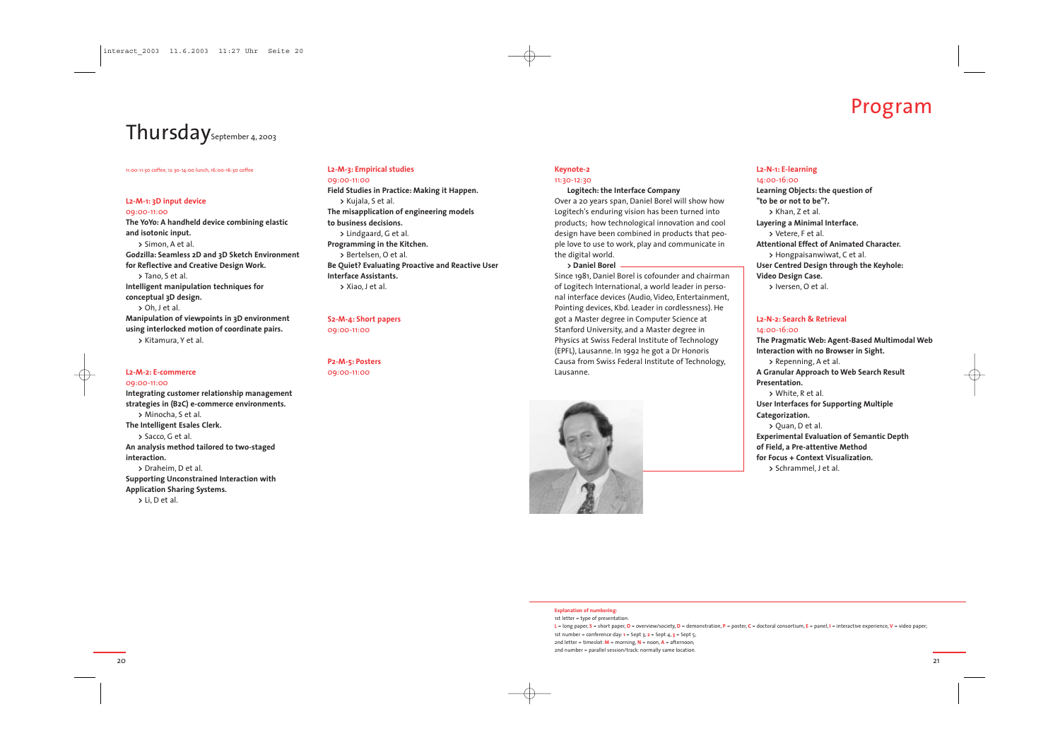#### 11:00-11:30 coffee, 12:30-14:00 lunch, 16:00-16:30 coffee

#### **L2-M-1: 3D input device**

09:00-11:00 **The YoYo: A handheld device combining elastic and isotonic input. >** Simon, A et al. **Godzilla: Seamless 2D and 3D Sketch Environment for Reflective and Creative Design Work. >** Tano, S et al. **Intelligent manipulation techniques for conceptual 3D design. >** Oh, J et al. **Manipulation of viewpoints in 3D environment using interlocked motion of coordinate pairs. >** Kitamura, Y et al.

#### **L2-M-2: E-commerce**

09:00-11:00

**Integrating customer relationship management strategies in (B2C) e-commerce environments. >** Minocha, S et al. **The Intelligent Esales Clerk. >** Sacco, G et al. **An analysis method tailored to two-staged interaction.>** Draheim, D et al. **Supporting Unconstrained Interaction with Application Sharing Systems. >** Li, D et al.

#### **L2-M-3: Empirical studies** 09:00-11:00

**Field Studies in Practice: Making it Happen. >** Kujala, S et al. **The misapplication of engineering models to business decisions. >** Lindgaard, G et al. **Programming in the Kitchen. >** Bertelsen, O et al. **Be Quiet? Evaluating Proactive and Reactive User Interface Assistants. >** Xiao, J et al.

**S2-M-4: Short papers** 09:00-11:00

**P2-M-5: Posters** 09:00-11:00

#### **Keynote-2** 11:30-12:30

### **Logitech: the Interface Company**

Over a 20 years span, Daniel Borel will show how Logitech's enduring vision has been turned into products; how technological innovation and cool design have been combined in products that people love to use to work, play and communicate in the digital world.

**> Daniel Borel** Since 1981, Daniel Borel is cofounder and chairman of Logitech International, a world leader in personal interface devices (Audio, Video, Entertainment, Pointing devices, Kbd. Leader in cordlessness). He go<sup>t</sup> a Master degree in Computer Science at Stanford University, and a Master degree in Physics at Swiss Federal Institute of Technology (EPFL), Lausanne. In 1992 he got a Dr Honoris Causa from Swiss Federal Institute of Technology, Lausanne.



**L2-N-1: E-learning** 14:00-16:00 **"to be or not to be"?. >** Khan, Z et al. **>** Vetere, F et al. **Video Design Case.**

**Learning Objects: the question of Layering a Minimal Interface. Attentional Effect of Animated Character. >** Hongpaisanwiwat, C et al. **User Centred Design through the Keyhole: >** Iversen, O et al.

### **L2-N-2: Search & Retrieval** 14:00-16:00

**The Pragmatic Web: Agent-Based Multimodal Web Interaction with no Browser in Sight. >** Repenning, A et al. **A Granular Approach to Web Search Result User Interfaces for Supporting Multiple Experimental Evaluation of Semantic Depth of Field, a Pre-attentive Method for Focus + Context Visualization.>** Schrammel, J et al.



**Presentation.>** White, R et al. **Categorization. >** Quan, D et al.

**Explanation of numbering:**

1st letter = type of presentation: **<sup>L</sup>**= long paper, **S** = short paper, **O** = overview/society, **<sup>D</sup>**= demonstration, **<sup>P</sup>**= poster, **<sup>C</sup>**= doctoral consortium, **<sup>E</sup>**= panel, **<sup>I</sup>**= interactive experience, **<sup>V</sup>**= video paper; 1st number = conference day: **<sup>1</sup>**= Sept 3, **<sup>2</sup>**= Sept 4, **3** = Sept 5; 2nd letter = timeslot: **<sup>M</sup>**= morning, **<sup>N</sup>**= noon, **<sup>A</sup>**= afternoon; 2nd number = parallel session/track: normally same location.

 $20$ 

## Thursday<sub>September 4, 2003</sub>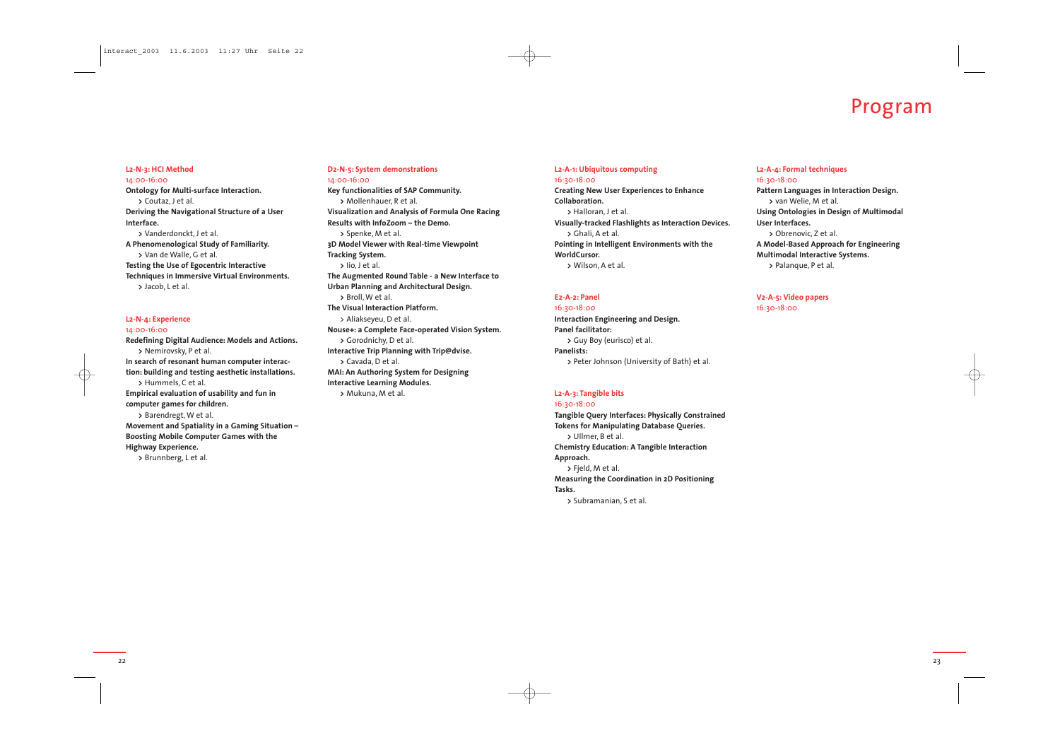23

#### **L2-A-1: Ubiquitous computing** 16:30-18:00

**Creating New User Experiences to Enhance Collaboration. >** Halloran, J et al. **Visually-tracked Flashlights as Interaction Devices. >** Ghali, A et al. **Pointing in Intelligent Environments with the WorldCursor. >** Wilson, A et al.

#### **E2-A-2: Panel**

16:30-18:00 **Interaction Engineering and Design. Panel facilitator: >** Guy Boy (eurisco) et al. **Panelists: >** Peter Johnson (University of Bath) et al.

#### **L2-A-3: Tangible bits**

16:30-18:00 **Tangible Query Interfaces: Physically Constrained Tokens for Manipulating Database Queries. >** Ullmer, B et al. **Chemistry Education: A Tangible Interaction Approach. >** Fjeld, M et al. **Measuring the Coordination in 2D Positioning Tasks. >** Subramanian, S et al.

#### **L2-A-4: Formal techniques**

**Pattern Languages in Interaction Design.**

16:30-18:00 **>** van Welie, M et al. **User Interfaces.**

**Using Ontologies in Design of Multimodal**

**>** Obrenovic, Z et al.

**A Model-Based Approach for Engineering**

**Multimodal Interactive Systems.**

**>** Palanque, P et al.

**V2-A-5: Video papers**



16:30-18:00

#### **L2-N-3: HCI Method**

14:00-16:00 **Ontology for Multi-surface Interaction. >** Coutaz, J et al. **Deriving the Navigational Structure of a User Interface.>** Vanderdonckt, J et al. **A Phenomenological Study of Familiarity. >** Van de Walle, G et al. **Testing the Use of Egocentric Interactive Techniques in Immersive Virtual Environments. >** Jacob, L et al.

### **L2-N-4: Experience**

14:00-16:00 **Redefining Digital Audience: Models and Actions. >** Nemirovsky, P et al. **In search of resonant human computer interaction: building and testing aesthetic installations. >** Hummels, C et al. **Empirical evaluation of usability and fun in computer games for children. >** Barendregt, W et al. **Movement and Spatiality in a Gaming Situation – Boosting Mobile Computer Games with the Highway Experience. >** Brunnberg, L et al.

#### **D2-N-5: System demonstrations** 14:00-16:00

**Key functionalities of SAP Community. >** Mollenhauer, R et al. **Visualization and Analysis of Formula One Racing Results with InfoZoom – the Demo. >** Spenke, M et al. **3D Model Viewer with Real-time Viewpoint Tracking System. >** Iio, J et al. **The Augmented Round Table - a New Interface to Urban Planning and Architectural Design. >** Broll, W et al. **The Visual Interaction Platform.** <sup>&</sup>gt; Aliakseyeu, D et al. **Nouse+: a Complete Face-operated Vision System. >** Gorodnichy, D et al. **Interactive Trip Planning with Trip@dvise. >** Cavada, D et al. **MAI: An Authoring System for Designing Interactive Learning Modules. >** Mukuna, M et al.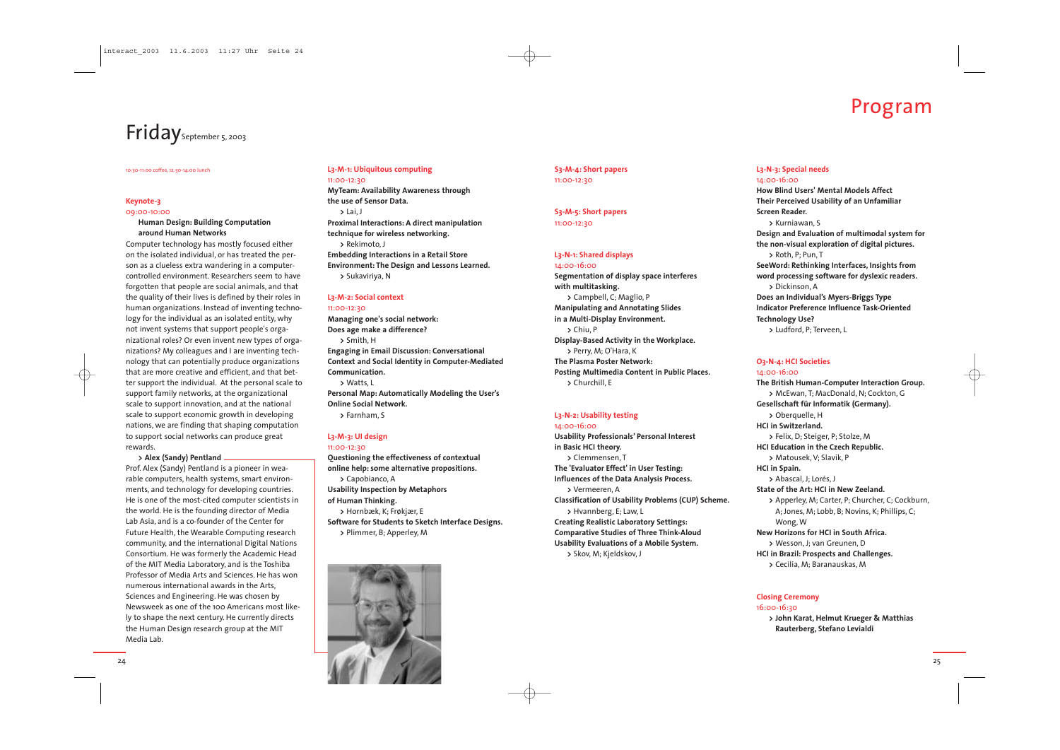#### 10:30-11:00 coffee, 12:30-14:00 lunch

#### **Keynote-3**

09:00-10:00

#### **Human Design: Building Computation around Human Networks**

Computer technology has mostly focused either on the isolated individual, or has treated the person as a clueless extra wandering in a computercontrolled environment. Researchers seem to have forgotten that people are social animals, and that the quality of their lives is defined by their roles in human organizations. Instead of inventing technology for the individual as an isolated entity, why not invent systems that suppor<sup>t</sup> people's organizational roles? Or even invent new types of organizations? My colleagues and I are inventing technology that can potentially produce organizations that are more creative and efficient, and that better support the individual. At the personal scale to suppor<sup>t</sup> family networks, at the organizational scale to support innovation, and at the national scale to support economic growth in developing nations, we are finding that shaping computation to support social networks can produce great rewards.

#### **<sup>&</sup>gt; Alex (Sandy) Pentland**

Prof. Alex (Sandy) Pentland is a pioneer in wearable computers, health systems, smart environments, and technology for developing countries. He is one of the most-cited computer scientists in the world. He is the founding director of Media Lab Asia, and is a co-founder of the Center for Future Health, the Wearable Computing research community, and the international Digital Nations Consortium. He was formerly the Academic Head of the MIT Media Laboratory, and is the Toshiba Professor of Media Arts and Sciences. He has wonnumerous international awards in the Arts, Sciences and Engineering. He was chosen by Newsweek as one of the 100 Americans most likely to shape the next century. He currently directs the Human Design research group at the MIT Media Lab.

## Program

#### **L3-M-1: Ubiquitous computing** 11:00-12:30

**MyTeam: Availability Awareness through the use of Sensor Data. >** Lai, J **Proximal Interactions: A direct manipulation technique for wireless networking. >** Rekimoto, J **Embedding Interactions in a Retail Store Environment: The Design and Lessons Learned. >** Sukaviriya, <sup>N</sup>

### L<sub>3</sub>-M-2: Social context

11:00-12:30

**Managing one's social network: Does age make a difference? >** Smith, H **Engaging in Email Discussion: Conversational Context and Social Identity in Computer-Mediated Communication. >** Watts, L **Personal Map: Automatically Modeling the User's Online Social Network. >** Farnham, S

### **L3-M-3: UI design**

11:00-12:30

**Questioning the effectiveness of contextual online help: some alternative propositions. >** Capobianco, <sup>A</sup> **Usability Inspection by Metaphors of Human Thinking. >** Hornbæk, K; Frøkjær, <sup>E</sup> **Software for Students to Sketch Interface Designs. >** Plimmer, B; Apperley, <sup>M</sup>



#### **S3-M-4: Short papers** 11:00-12:30

**S3-M-5: Short papers** 11:00-12:30

#### **L3-N-1: Shared displays**

14:00-16:00 **Segmentation of display space interferes with multitasking. >** Campbell, C; Maglio, <sup>P</sup> **Manipulating and Annotating Slides in a Multi-Display Environment. >** Chiu, P **Display-Based Activity in the Workplace. >** Perry, M; O'Hara, <sup>K</sup> **The Plasma Poster Network: Posting Multimedia Content in Public Places. >** Churchill, E

#### **L3-N-2: Usability testing**

14:00-16:00 **Usability Professionals' Personal Interest in Basic HCI theory. >** Clemmensen, T **The 'Evaluator Effect' in User Testing: Influences of the Data Analysis Process. >** Vermeeren, A **Classification of Usability Problems (CUP) Scheme. >** Hvannberg, E; Law, <sup>L</sup> **Creating Realistic Laboratory Settings: Comparative Studies of Three Think-Aloud Usability Evaluations of a Mobile System. >** Skov, M; Kjeldskov, <sup>J</sup>

#### **L3-N-3: Special needs** 14:00-16:00

**How Blind Users' Mental Models Affect Their Perceived Usability of an Unfamiliar**

**Screen Reader.**

**>** Kurniawan, S

**Design and Evaluation of multimodal system for the non-visual exploration of digital pictures. >** Roth, P; Pun, T

**SeeWord: Rethinking Interfaces, Insights from word processing software for dyslexic readers.**

**Does an Individual's Myers-Briggs Type**

**>** Dickinson, A **Technology Use?**

**Indicator Preference Influence Task-Oriented**

**>** Ludford, P; Terveen, L

#### **O3-N-4: HCI Societies**

**The British Human-Computer Interaction Group. >** McEwan, T; MacDonald, N; Cockton, G **Gesellschaft für Informatik (Germany). >** Felix, D; Steiger, P; Stolze, <sup>M</sup> **HCI Education in the Czech Republic. >** Matousek, V; Slavík, P

14:00-16:00 **>** Oberquelle, <sup>H</sup> **HCI in Switzerland.HCI in Spain.** Wong, W

**>** Abascal, J; Lorés, J **State of the Art: HCI in New Zeeland. >** Apperley, M; Carter, P; Churcher, C; Cockburn, A; Jones, M; Lobb, B; Novins, K; Phillips, C; **New Horizons for HCI in South Africa.>** Wesson, J; van Greunen, D **HCI in Brazil: Prospects and Challenges. >** Cecilia, M; Baranauskas, M

### **Closing Ceremony**

16:00-16:30

**<sup>&</sup>gt; John Karat, Helmut Krueger & Matthias Rauterberg, Stefano Levialdi**



## Friday<sub>September 5, 2003</sub>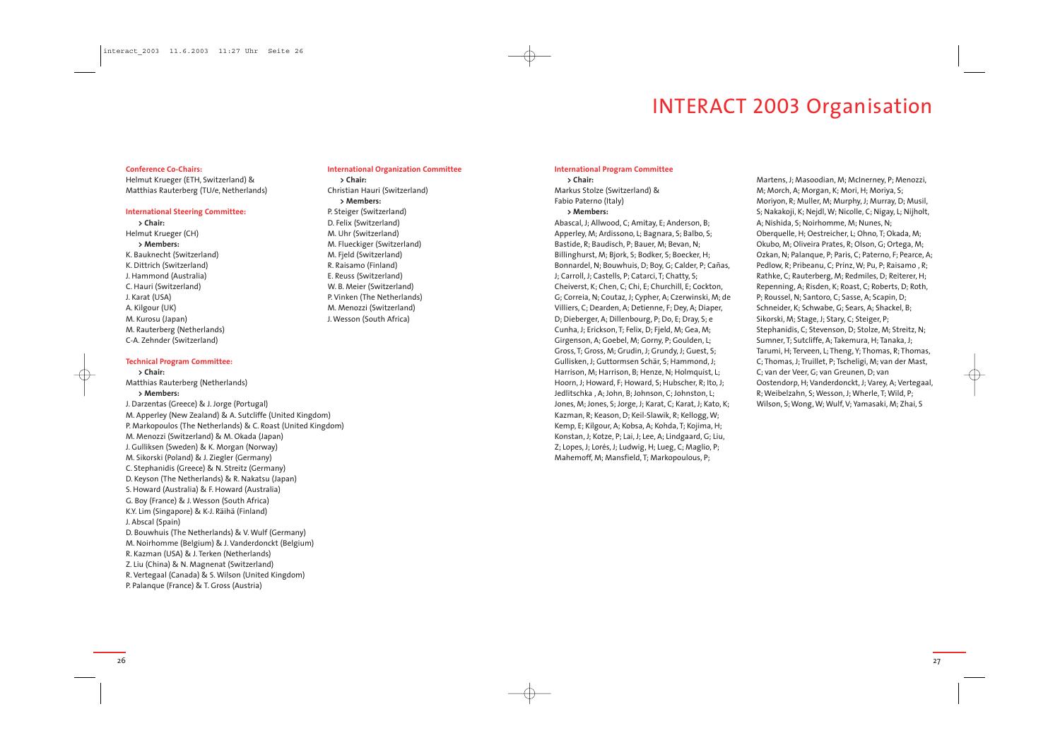## INTERACT 2003 Organisation

#### **Conference Co-Chairs:**

Helmut Krueger (ETH, Switzerland) & Matthias Rauterberg (TU/e, Netherlands)

#### **International Steering Committee:**

**> Chair:** Helmut Krueger (CH) **> Members:** K. Bauknecht (Switzerland) K. Dittrich (Switzerland) J. Hammond (Australia) C. Hauri (Switzerland) J. Karat (USA) A. Kilgour (UK) M. Kurosu (Japan) M. Rauterberg (Netherlands) C-A. Zehnder (Switzerland)

#### **Technical Program Committee:**

**> Chair:** Matthias Rauterberg (Netherlands) **> Members:**

J. Darzentas (Greece) & J. Jorge (Portugal) M. Apperley (New Zealand) & A. Sutcliffe (United Kingdom) P. Markopoulos (The Netherlands) & C. Roast (United Kingdom) M. Menozzi (Switzerland) & M. Okada (Japan) J. Gulliksen (Sweden) & K. Morgan (Norway) M. Sikorski (Poland) & J. Ziegler (Germany) C. Stephanidis (Greece) & N. Streitz (Germany) D. Keyson (The Netherlands) & R. Nakatsu (Japan) S. Howard (Australia) & F. Howard (Australia) G. Boy (France) & J. Wesson (South Africa) K.Y. Lim (Singapore) & K-J. Räihä (Finland) J. Abscal (Spain) D. Bouwhuis (The Netherlands) & V. Wulf (Germany) M. Noirhomme (Belgium) & J. Vanderdonckt (Belgium) R. Kazman (USA) & J. Terken (Netherlands) Z. Liu (China) & N. Magnenat (Switzerland) R. Vertegaal (Canada) & S. Wilson (United Kingdom) P. Palanque (France) & T. Gross (Austria)

#### **International Organization Committee**

**> Chair:** Christian Hauri (Switzerland) **> Members:** P. Steiger (Switzerland) D. Felix (Switzerland) M. Uhr (Switzerland) M. Flueckiger (Switzerland) M. Fjeld (Switzerland) R. Raisamo (Finland) E. Reuss (Switzerland) W. B. Meier (Switzerland) P. Vinken (The Netherlands) M. Menozzi (Switzerland) J. Wesson (South Africa)

#### **International Program Committee**

**> Chair:** Markus Stolze (Switzerland) & Fabio Paterno (Italy) **> Members:** Abascal, J; Allwood, C; Amitay, E; Anderson, B; Apperley, M; Ardissono, L; Bagnara, S; Balbo, S; Bastide, R; Baudisch, P; Bauer, M; Bevan, N; Billinghurst, M; Bjork, S; Bodker, S; Boecker, H; Bonnardel, N; Bouwhuis, D; Boy, G; Calder, P; Cañas, J; Carroll, J; Castells, P; Catarci, T; Chatty, S; Cheiverst, K; Chen, C; Chi, E; Churchill, E; Cockton, G; Correia, N; Coutaz, J; Cypher, A; Czerwinski, M; de Villiers, C; Dearden, A; Detienne, F; Dey, A; Diaper, D; Dieberger, A; Dillenbourg, P; Do, E; Dray, S; <sup>e</sup> Cunha, J; Erickson, T; Felix, D; Fjeld, M; Gea, M; Girgenson, A; Goebel, M; Gorny, P; Goulden, L; Gross, T; Gross, M; Grudin, J; Grundy, J; Guest, S; Gullisken, J; Guttormsen Schär, S; Hammond, J; Harrison, M; Harrison, B; Henze, N; Holmquist, L; Hoorn, J; Howard, F; Howard, S; Hubscher, R; Ito, J; Jedlitschka , A; John, B; Johnson, C; Johnston, L; Jones, M; Jones, S; Jorge, J; Karat, C; Karat, J; Kato, K; Kazman, R; Keason, D; Keil-Slawik, R; Kellogg, W; Kemp, E; Kilgour, A; Kobsa, A; Kohda, T; Kojima, H; Konstan, J; Kotze, P; Lai, J; Lee, A; Lindgaard, G; Liu, Z; Lopes, J; Lorés, J; Ludwig, H; Lueg, C; Maglio, P; Mahemoff, M; Mansfield, T; Markopoulous, P;

Martens, J; Masoodian, M; McInerney, P; Menozzi, M; Morch, A; Morgan, K; Mori, H; Moriya, S; Moriyon, R; Muller, M; Murphy, J; Murray, D; Musil, S; Nakakoji, K; Nejdl, W; Nicolle, C; Nigay, L; Nijholt, A; Nishida, S; Noirhomme, M; Nunes, N; Oberquelle, H; Oestreicher, L; Ohno, T; Okada, M; Okubo, M; Oliveira Prates, R; Olson, G; Ortega, M; Ozkan, N; Palanque, P; Paris, C; Paterno, F; Pearce, A; Pedlow, R; Pribeanu, C; Prinz, W; Pu, P; Raisamo , R; Rathke, C; Rauterberg, M; Redmiles, D; Reiterer, H; Repenning, A; Risden, K; Roast, C; Roberts, D; Roth, P; Roussel, N; Santoro, C; Sasse, A; Scapin, D; Schneider, K; Schwabe, G; Sears, A; Shackel, B; Sikorski, M; Stage, J; Stary, C; Steiger, P; Stephanidis, C; Stevenson, D; Stolze, M; Streitz, N; Sumner, T; Sutcliffe, A; Takemura, H; Tanaka, J; Tarumi, H; Terveen, L; Theng, Y; Thomas, R; Thomas, C; Thomas, J; Truillet, P; Tscheligi, M; van der Mast, C; van der Veer, G; van Greunen, D; van Oostendorp, H; Vanderdonckt, J; Varey, A; Vertegaal, R; Weibelzahn, S; Wesson, J; Wherle, T; Wild, P; Wilson, S; Wong, W; Wulf, V; Yamasaki, M; Zhai, <sup>S</sup>



26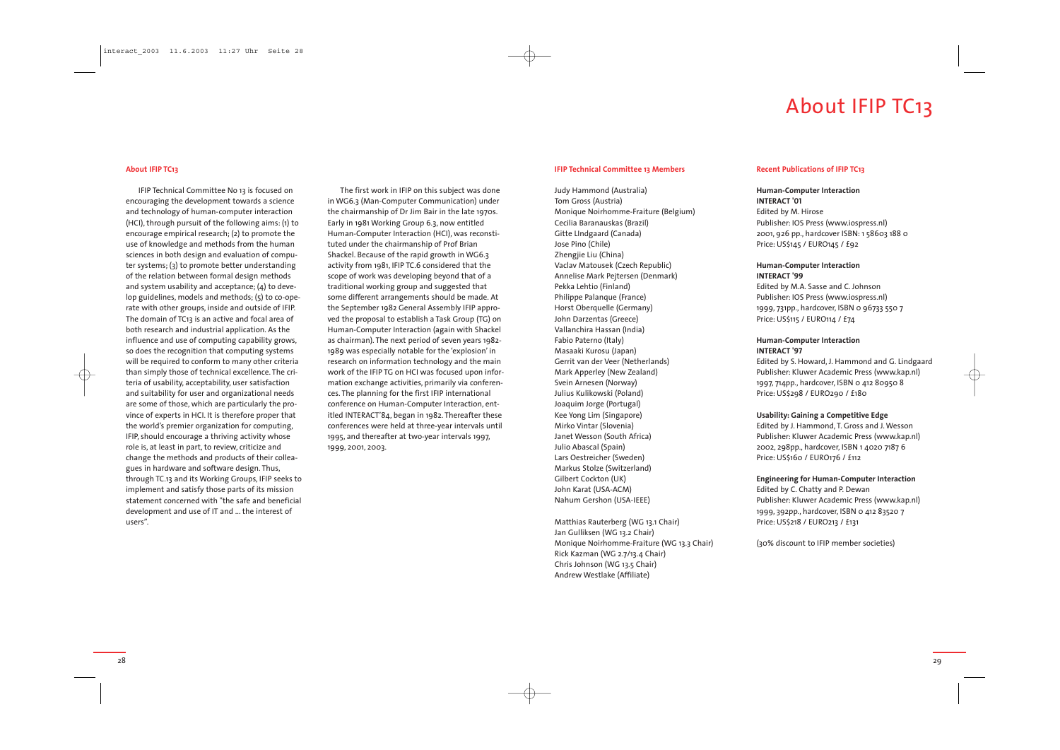## About IFIP TC13

#### **About IFIP TC13**

IFIP Technical Committee No 13 is focused on encouraging the development towards a science and technology of human-computer interaction (HCI), through pursuit of the following aims: (1) to encourage empirical research; (2) to promote the use of knowledge and methods from the human sciences in both design and evaluation of computer systems; (3) to promote better understanding of the relation between formal design methods and system usability and acceptance; (4) to develop guidelines, models and methods; (5) to co-operate with other groups, inside and outside of IFIP. The domain of TC13 is an active and focal area of both research and industrial application. As the influence and use of computing capability grows, so does the recognition that computing systems will be required to conform to many other criteria than simply those of technical excellence. The criteria of usability, acceptability, user satisfaction and suitability for user and organizational needs are some of those, which are particularly the province of experts in HCI. It is therefore proper that the world's premier organization for computing, IFIP, should encourage a thriving activity whose role is, at least in part, to review, criticize and change the methods and products of their colleagues in hardware and software design. Thus, through TC.13 and its Working Groups, IFIP seeks to implement and satisfy those parts of its mission statement concerned with "the safe and beneficial development and use of IT and ... the interest of users".

The first work in IFIP on this subject was done in WG6.3 (Man-Computer Communication) under the chairmanship of Dr Jim Bair in the late 1970s. Early in 1981 Working Group 6.3, now entitled Human-Computer Interaction (HCI), was reconstituted under the chairmanship of Prof Brian Shackel. Because of the rapid growth in WG6.3 activity from 1981, IFIP TC.6 considered that the scope of work was developing beyond that of a traditional working group and suggested that some different arrangements should be made. At the September 1982 General Assembly IFIP approved the proposal to establish a Task Group (TG) on Human-Computer Interaction (again with Shackel as chairman). The next period of seven years 1982- 1989 was especially notable for the 'explosion' in research on information technology and the main work of the IFIP TG on HCI was focused upon information exchange activities, primarily via conferences. The planning for the first IFIP international conference on Human-Computer Interaction, entitled INTERACT'84, began in 1982. Thereafter these conferences were held at three-year intervals until 1995, and thereafter at two-year intervals 1997, 1999, 2001, 2003.

#### **IFIP Technical Committee 13 Members**

Judy Hammond (Australia) Tom Gross (Austria) Monique Noirhomme-Fraiture (Belgium) Cecilia Baranauskas (Brazil) Gitte LIndgaard (Canada) Jose Pino (Chile) Zhengjie Liu (China) Vaclav Matousek (Czech Republic) Annelise Mark Pejtersen (Denmark) Pekka Lehtio (Finland) Philippe Palanque (France) Horst Oberquelle (Germany) John Darzentas (Greece) Vallanchira Hassan (India) Fabio Paterno (Italy) Masaaki Kurosu (Japan) Gerrit van der Veer (Netherlands) Mark Apperley (New Zealand) Svein Arnesen (Norway) Julius Kulikowski (Poland) Joaquim Jorge (Portugal) Kee Yong Lim (Singapore) Mirko Vintar (Slovenia) Janet Wesson (South Africa) Julio Abascal (Spain) Lars Oestreicher (Sweden) Markus Stolze (Switzerland) Gilbert Cockton (UK) John Karat (USA-ACM) Nahum Gershon (USA-IEEE)

Matthias Rauterberg (WG 13.1 Chair) Jan Gulliksen (WG 13.2 Chair) Monique Noirhomme-Fraiture (WG 13.3 Chair) Rick Kazman (WG 2.7/13.4 Chair) Chris Johnson (WG 13.5 Chair) Andrew Westlake (Affiliate)

#### **Recent Publications of IFIP TC13**

**Human-Computer Interaction INTERACT '01** Edited by M. Hirose Publisher: IOS Press (www.iospress.nl) 2001, 926 pp., hardcover ISBN: 1 58603 188 0 Price: US\$145 / EURO145 / £92

## **Human-Computer Interaction**

**INTERACT '99**

Edited by M.A. Sasse and C. Johnson Publisher: IOS Press (www.iospress.nl) 1999, 731pp., hardcover, ISBN 0 96733 550 7 Price: US\$115 / EURO114 / £74

### **Human-Computer Interaction**

**INTERACT '97**Edited by S. Howard, J. Hammond and G. Lindgaard Publisher: Kluwer Academic Press (www.kap.nl) 1997, 714pp., hardcover, ISBN 0 412 80950 8 Price: US\$298 / EURO290 / £180

### **Usability: Gaining a Competitive Edge**



Edited by J. Hammond, T. Gross and J. Wesson Publisher: Kluwer Academic Press (www.kap.nl) 2002, 298pp., hardcover, ISBN 1 4020 7187 6 Price: US\$160 / EURO176 / £112

#### **Engineering for Human-Computer Interaction**

Edited by C. Chatty and P. Dewan Publisher: Kluwer Academic Press (www.kap.nl) 1999, 392pp., hardcover, ISBN 0 412 83520 7 Price: US\$218 / EURO213 / £131

(30% discount to IFIP member societies)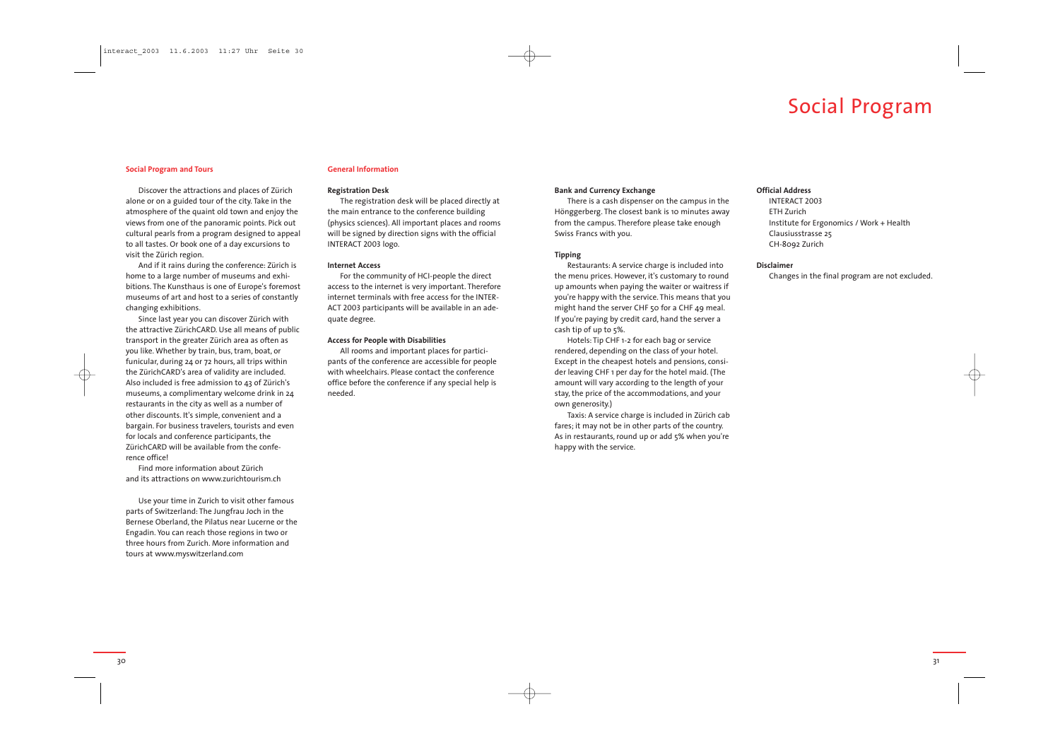## Social Program

31

#### **Social Program and Tours**

Discover the attractions and places of Zürich alone or on a guided tour of the city. Take in the atmosphere of the quaint old town and enjoy the views from one of the panoramic points. Pick out cultural pearls from a program designed to appeal to all tastes. Or book one of a day excursions to visit the Zürich region.

And if it rains during the conference: Zürich is home to a large number of museums and exhibitions. The Kunsthaus is one of Europe's foremost museums of art and host to a series of constantly changing exhibitions.

Since last year you can discover Zürich with the attractive ZürichCARD. Use all means of public transport in the greater Zürich area as often as you like. Whether by train, bus, tram, boat, or funicular, during 24 or 72 hours, all trips within the ZürichCARD's area of validity are included. Also included is free admission to 43 of Zürich's museums, a complimentary welcome drink in 24 restaurants in the city as well as a number of other discounts. It's simple, convenient and a bargain. For business travelers, tourists and even for locals and conference participants, the ZürichCARD will be available from the conference office!

Find more information about Zürich and its attractions on www.zurichtourism.ch

Use your time in Zurich to visit other famous parts of Switzerland: The Jungfrau Joch in the Bernese Oberland, the Pilatus near Lucerne or the Engadin. You can reach those regions in two or three hours from Zurich. More information and tours at www.myswitzerland.com

#### **General Information**

#### **Registration Desk**

The registration desk will be placed directly at the main entrance to the conference building (physics sciences). All important places and rooms will be signed by direction signs with the official INTERACT 2003 logo.

#### **Internet Access**

For the community of HCI-people the direct access to the internet is very important. Therefore internet terminals with free access for the INTER-ACT 2003 participants will be available in an adequate degree.

#### **Access for People with Disabilities**

All rooms and important places for participants of the conference are accessible for people with wheelchairs. Please contact the conference office before the conference if any special help is needed.

#### **Bank and Currency Exchange**

There is a cash dispenser on the campus in the Hönggerberg. The closest bank is 10 minutes away from the campus. Therefore please take enough Swiss Francs with you.

#### **Tipping**

Restaurants: A service charge is included into the menu prices. However, it's customary to round up amounts when paying the waiter or waitress if you're happy with the service. This means that you might hand the server CHF 50 for a CHF 49 meal. If you're paying by credit card, hand the server a cash tip of up to 5%.

Hotels: Tip CHF 1-2 for each bag or service rendered, depending on the class of your hotel. Except in the cheapest hotels and pensions, consider leaving CHF 1 per day for the hotel maid. (The amount will vary according to the length of your stay, the price of the accommodations, and your own generosity.)

Taxis: A service charge is included in Zürich cab fares; it may no<sup>t</sup> be in other parts of the country. As in restaurants, round up or add 5% when you're happy with the service.

### **Official Address**

INTERACT 2003 Institute for Ergonomics / Work + Health Clausiusstrasse 25

ETH Zurich CH-8092 Zurich

## **Disclaimer**

Changes in the final program are not excluded.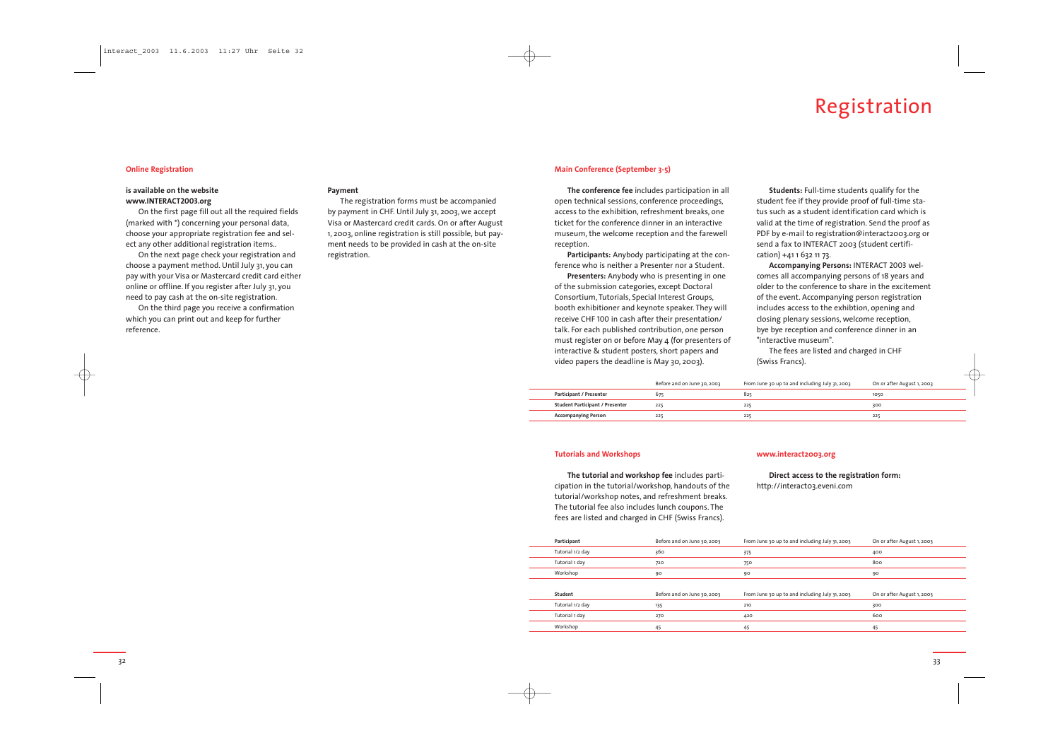## Registration

 $\overline{\phantom{a}}$ 

#### **Online Registration**

#### **is available on the website www.INTERACT2003.org**

On the first page fill out all the required fields (marked with \*) concerning your personal data, choose your appropriate registration fee and select any other additional registration items..

On the next page check your registration and choose a payment method. Until July 31, you can pay with your Visa or Mastercard credit card either online or offline. If you register after July 31, you need to pay cash at the on-site registration.

On the third page you receive a confirmation which you can print out and keep for further reference.

#### **Payment**

The registration forms must be accompanied by payment in CHF. Until July 31, 2003, we accept Visa or Mastercard credit cards. On or after August 1, 2003, online registration is still possible, but payment needs to be provided in cash at the on-site registration.

#### **Main Conference (September 3-5)**

**The conference fee** includes participation in all open technical sessions, conference proceedings, access to the exhibition, refreshment breaks, one ticket for the conference dinner in an interactive museum, the welcome reception and the farewell reception.

**Participants:** Anybody participating at the conference who is neither a Presenter nor a Student.

**Presenters:** Anybody who is presenting in one of the submission categories, excep<sup>t</sup> Doctoral Consortium, Tutorials, Special Interest Groups, booth exhibitioner and keynote speaker. They will receive CHF 100 in cash after their presentation/ talk. For each published contribution, one person must register on or before May 4 (for presenters of interactive & student posters, short papers and video papers the deadline is May 30, 2003).

| Student:     |
|--------------|
| tudent fee   |
| us such as : |

#### **Tutorials and Workshops**

**The tutorial and workshop fee** includes participation in the tutorial/workshop, handouts of the tutorial/workshop notes, and refreshment breaks. The tutorial fee also includes lunch coupons. The fees are listed and charged in CHF (Swiss Francs).

#### **www.interact2003.org**

### **Direct access to the registration form:**

http://interact03.eveni.com

**Students:** Full-time students qualify for the student fee if they provide proof of full-time status such as a student identification card which is valid at the time of registration. Send the proof as PDF by e-mail to registration@interact2003.org or send a fax to INTERACT 2003 (student certification) +41 1 632 11 73.

**Accompanying Persons:** INTERACT 2003 welcomes all accompanying persons of 18 years and older to the conference to share in the excitement of the event. Accompanying person registration includes access to the exhibtion, opening and closing plenary sessions, welcome reception, bye bye reception and conference dinner in an "interactive museum".

The fees are listed and charged in CHF (Swiss Francs).

|                                        | Before and on June 30, 2003 | From June 30 up to and including July 31, 2003 | On or after August 1, 2003 |  |
|----------------------------------------|-----------------------------|------------------------------------------------|----------------------------|--|
| Participant / Presenter                | 675                         | 825                                            | 1050                       |  |
| <b>Student Participant / Presenter</b> | 225                         | 225                                            | 300                        |  |
| <b>Accompanying Person</b>             | 225                         | 225                                            | 225                        |  |

| Participant      | Before and on June 30, 2003 | From June 30 up to and including July 31, 2003 | On or after August 1, 2003 |
|------------------|-----------------------------|------------------------------------------------|----------------------------|
| Tutorial 1/2 day | 360                         | 375                                            | 400                        |
| Tutorial 1 day   | 720                         | 750                                            | 800                        |
| Workshop         | 90                          | 90                                             | 90                         |
|                  |                             |                                                |                            |
| Student          | Before and on June 30, 2003 | From June 30 up to and including July 31, 2003 | On or after August 1, 2003 |
| Tutorial 1/2 day | 135                         | 210                                            | 300                        |
|                  |                             |                                                |                            |

| Participant      | Before and on June 30, 2003 | From June 30 up to and including July 31, 2003 | On or after August 1, 2003 |
|------------------|-----------------------------|------------------------------------------------|----------------------------|
| Tutorial 1/2 day | 360                         | 375                                            | 400                        |
| Tutorial 1 day   | 720                         | 750                                            | 800                        |
| Workshop         | 90                          | 90                                             | 90                         |
|                  |                             |                                                |                            |
| Student          | Before and on June 30, 2003 | From June 30 up to and including July 31, 2003 | On or after August 1, 2003 |
| Tutorial 1/2 day | 135                         | 210                                            | 300                        |
| Tutorial 1 day   | 270                         | 420                                            | 600                        |
| Workshop         |                             |                                                |                            |
|                  | 45                          | 45                                             | 45                         |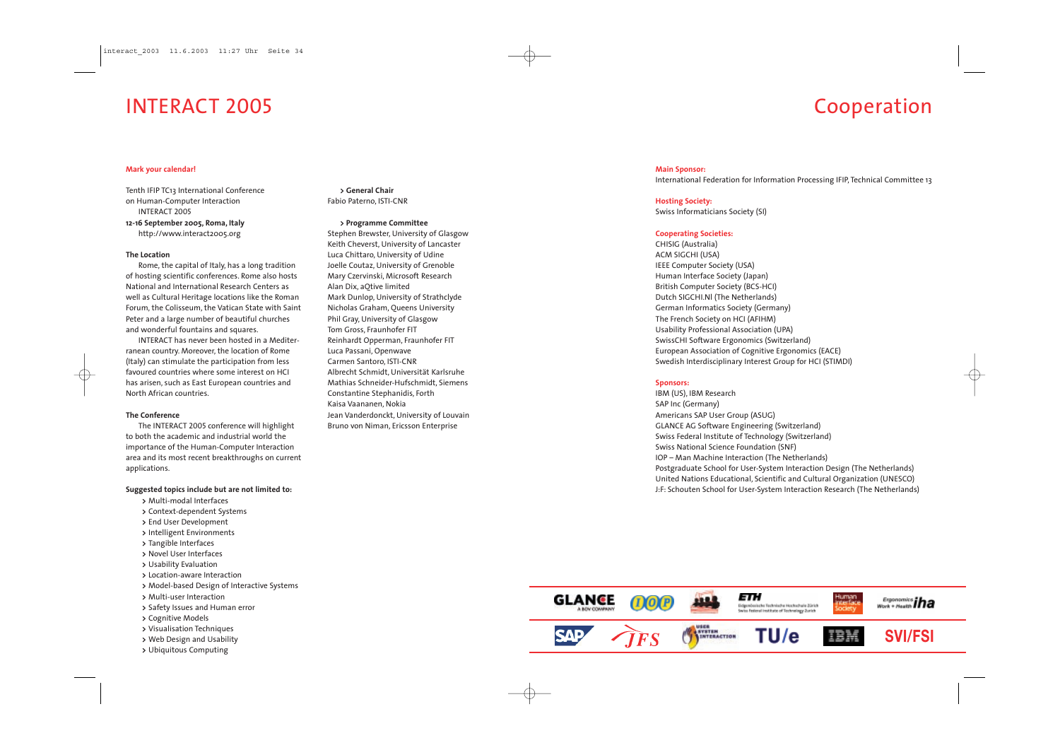## **Main Sponsor:**

International Federation for Information Processing IFIP, Technical Committee 13



**Hosting Society:** Swiss Informaticians Society (SI)

#### **Cooperating Societies:**

CHISIG (Australia) ACM SIGCHI (USA) IEEE Computer Society (USA) Human Interface Society (Japan) British Computer Society (BCS-HCI) Dutch SIGCHI.Nl (The Netherlands) German Informatics Society (Germany) The French Society on HCI (AFIHM) Usability Professional Association (UPA) SwissCHI Software Ergonomics (Switzerland) European Association of Cognitive Ergonomics (EACE) Swedish Interdisciplinary Interest Group for HCI (STIMDI)

#### **Sponsors:**

IBM (US), IBM Research SAP Inc (Germany) Americans SAP User Group (ASUG) GLANCE AG Software Engineering (Switzerland) Swiss Federal Institute of Technology (Switzerland) Swiss National Science Foundation (SNF) IOP – Man Machine Interaction (The Netherlands) Postgraduate School for User-System Interaction Design (The Netherlands) United Nations Educational, Scientific and Cultural Organization (UNESCO) J:F: Schouten School for User-System Interaction Research (The Netherlands)

## INTERACT 2005

## Cooperation



#### **Mark your calendar!**

Tenth IFIP TC13 International Conference on Human-Computer Interaction

INTERACT 2005 **12-16 September 2005, Roma, Italy** http://www.interact2005.org

#### **The Location**

Rome, the capital of Italy, has a long tradition of hosting scientific conferences. Rome also hosts National and International Research Centers as well as Cultural Heritage locations like the Roman Forum, the Colisseum, the Vatican State with Saint Peter and a large number of beautiful churches and wonderful fountains and squares.

INTERACT has never been hosted in a Mediterranean country. Moreover, the location of Rome (Italy) can stimulate the participation from less favoured countries where some interest on HCI has arisen, such as East European countries and North African countries.

#### **The Conference**

The INTERACT 2005 conference will highlight to both the academic and industrial world the importance of the Human-Computer Interaction area and its most recent breakthroughs on current applications.

#### **Suggested topics include but are not limited to:**

- **>** Multi-modal Interfaces
- **>** Context-dependent Systems
- **>** End User Development
- **>** Intelligent Environments
- **>** Tangible Interfaces
- **>** Novel User Interfaces
- **>** Usability Evaluation
- **>** Location-aware Interaction
- **>** Model-based Design of Interactive Systems
- **>** Multi-user Interaction
- **>** Safety Issues and Human error
- **>** Cognitive Models
- **>** Visualisation Techniques
- **>** Web Design and Usability
- **>** Ubiquitous Computing

**> General Chair** Fabio Paterno, ISTI-CNR

#### **> Programme Committee**

Stephen Brewster, University of Glasgow Keith Cheverst, University of Lancaster Luca Chittaro, University of Udine Joelle Coutaz, University of Grenoble Mary Czervinski, Microsoft Research Alan Dix, aQtive limited Mark Dunlop, University of Strathclyde Nicholas Graham, Queens University Phil Gray, University of Glasgow Tom Gross, Fraunhofer FIT Reinhardt Opperman, Fraunhofer FIT Luca Passani, Openwave Carmen Santoro, ISTI-CNR Albrecht Schmidt, Universität Karlsruhe Mathias Schneider-Hufschmidt, Siemens Constantine Stephanidis, Forth Kaisa Vaananen, Nokia Jean Vanderdonckt, University of Louvain Bruno von Niman, Ericsson Enterprise